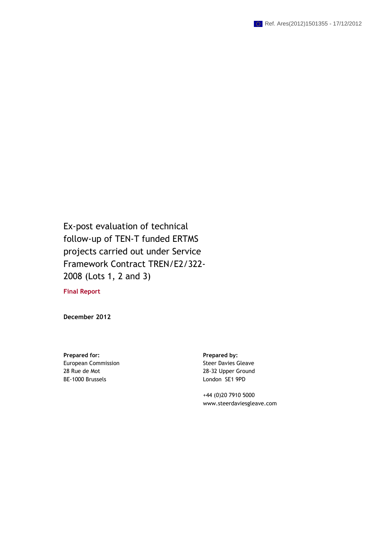Ex-post evaluation of technical follow-up of TEN-T funded ERTMS projects carried out under Service Framework Contract TREN/E2/322- 2008 (Lots 1, 2 and 3)

**Final Report** 

**December 2012** 

Prepared for: **Prepared by: Prepared by: Prepared by:** European Commission 28 Rue de Mot BE-1000 Brussels

Steer Davies Gleave 28-32 Upper Ground London SE1 9PD

 +44 (0)20 7910 5000 www.steerdaviesgleave.com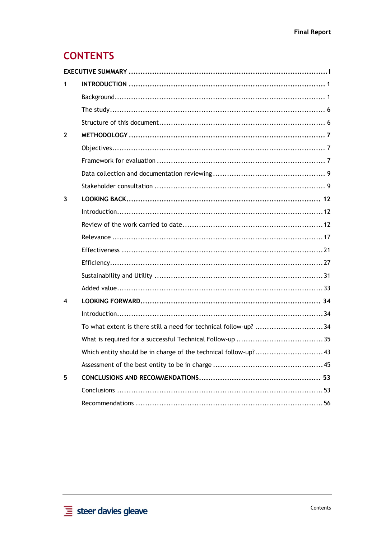# **CONTENTS**

| 1            |                                                                  |
|--------------|------------------------------------------------------------------|
|              |                                                                  |
|              |                                                                  |
|              |                                                                  |
| $\mathbf{2}$ |                                                                  |
|              |                                                                  |
|              |                                                                  |
|              |                                                                  |
|              |                                                                  |
| 3            |                                                                  |
|              |                                                                  |
|              |                                                                  |
|              |                                                                  |
|              |                                                                  |
|              |                                                                  |
|              |                                                                  |
|              |                                                                  |
| 4            |                                                                  |
|              |                                                                  |
|              | To what extent is there still a need for technical follow-up? 34 |
|              |                                                                  |
|              |                                                                  |
|              |                                                                  |
| 5            |                                                                  |
|              |                                                                  |
|              |                                                                  |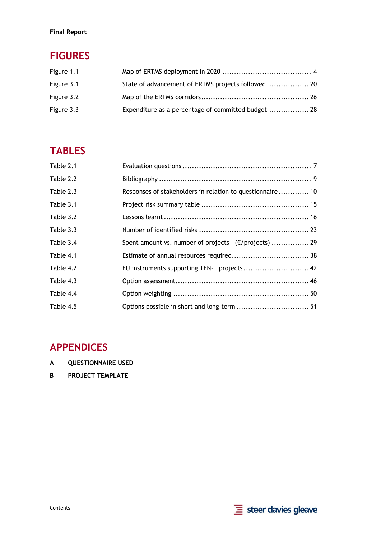## **Final Report**

# **FIGURES**

| Figure 1.1 |                                                     |  |
|------------|-----------------------------------------------------|--|
| Figure 3.1 | State of advancement of ERTMS projects followed 20  |  |
| Figure 3.2 |                                                     |  |
| Figure 3.3 | Expenditure as a percentage of committed budget  28 |  |

# **TABLES**

| Table 2.1 |                                                           |  |
|-----------|-----------------------------------------------------------|--|
| Table 2.2 |                                                           |  |
| Table 2.3 | Responses of stakeholders in relation to questionnaire 10 |  |
| Table 3.1 |                                                           |  |
| Table 3.2 |                                                           |  |
| Table 3.3 |                                                           |  |
| Table 3.4 | Spent amount vs. number of projects (€/projects)  29      |  |
| Table 4.1 |                                                           |  |
| Table 4.2 | EU instruments supporting TEN-T projects 42               |  |
| Table 4.3 |                                                           |  |
| Table 4.4 |                                                           |  |
| Table 4.5 | Options possible in short and long-term  51               |  |

## **APPENDICES**

- **A [QUESTIONNAIRE USED](#page-68-0)**
- **B [PROJECT TEMPLATE](#page-80-0)**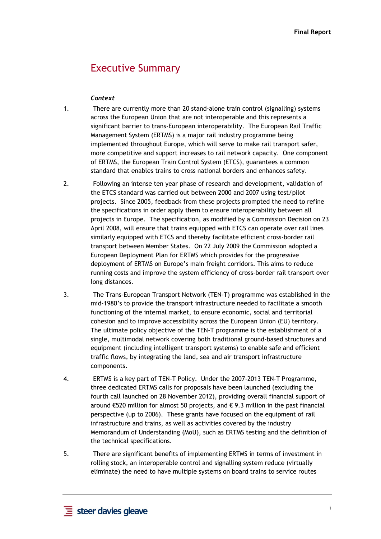## Executive Summary

#### *Context*

- <span id="page-4-0"></span>1. There are currently more than 20 stand-alone train control (signalling) systems across the European Union that are not interoperable and this represents a significant barrier to trans-European interoperability. The European Rail Traffic Management System (ERTMS) is a major rail industry programme being implemented throughout Europe, which will serve to make rail transport safer, more competitive and support increases to rail network capacity. One component of ERTMS, the European Train Control System (ETCS), guarantees a common standard that enables trains to cross national borders and enhances safety.
- 2. Following an intense ten year phase of research and development, validation of the ETCS standard was carried out between 2000 and 2007 using test/pilot projects. Since 2005, feedback from these projects prompted the need to refine the specifications in order apply them to ensure interoperability between all projects in Europe. The specification, as modified by a Commission Decision on 23 April 2008, will ensure that trains equipped with ETCS can operate over rail lines similarly equipped with ETCS and thereby facilitate efficient cross-border rail transport between Member States. On 22 July 2009 the Commission adopted a European Deployment Plan for ERTMS which provides for the progressive deployment of ERTMS on Europe's main freight corridors. This aims to reduce running costs and improve the system efficiency of cross-border rail transport over long distances.
- 3. The Trans-European Transport Network (TEN-T) programme was established in the mid-1980's to provide the transport infrastructure needed to facilitate a smooth functioning of the internal market, to ensure economic, social and territorial cohesion and to improve accessibility across the European Union (EU) territory. The ultimate policy objective of the TEN-T programme is the establishment of a single, multimodal network covering both traditional ground-based structures and equipment (including intelligent transport systems) to enable safe and efficient traffic flows, by integrating the land, sea and air transport infrastructure components.
- 4. ERTMS is a key part of TEN-T Policy. Under the 2007-2013 TEN-T Programme, three dedicated ERTMS calls for proposals have been launched (excluding the fourth call launched on 28 November 2012), providing overall financial support of around €520 million for almost 50 projects, and € 9.3 million in the past financial perspective (up to 2006). These grants have focused on the equipment of rail infrastructure and trains, as well as activities covered by the industry Memorandum of Understanding (MoU), such as ERTMS testing and the definition of the technical specifications.
- 5. There are significant benefits of implementing ERTMS in terms of investment in rolling stock, an interoperable control and signalling system reduce (virtually eliminate) the need to have multiple systems on board trains to service routes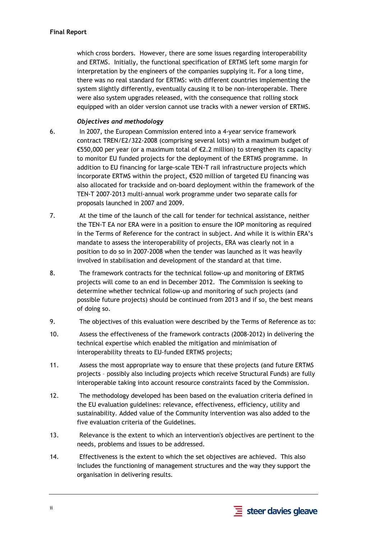which cross borders. However, there are some issues regarding interoperability and ERTMS. Initially, the functional specification of ERTMS left some margin for interpretation by the engineers of the companies supplying it. For a long time, there was no real standard for ERTMS: with different countries implementing the system slightly differently, eventually causing it to be non-interoperable. There were also system upgrades released, with the consequence that rolling stock equipped with an older version cannot use tracks with a newer version of ERTMS.

### *Objectives and methodology*

- 6. In 2007, the European Commission entered into a 4-year service framework contract TREN/E2/322-2008 (comprising several lots) with a maximum budget of €550,000 per year (or a maximum total of €2.2 million) to strengthen its capacity to monitor EU funded projects for the deployment of the ERTMS programme. In addition to EU financing for large-scale TEN-T rail infrastructure projects which incorporate ERTMS within the project, €520 million of targeted EU financing was also allocated for trackside and on-board deployment within the framework of the TEN-T 2007-2013 multi-annual work programme under two separate calls for proposals launched in 2007 and 2009.
- 7. At the time of the launch of the call for tender for technical assistance, neither the TEN-T EA nor ERA were in a position to ensure the IOP monitoring as required in the Terms of Reference for the contract in subject. And while it is within ERA's mandate to assess the interoperability of projects, ERA was clearly not in a position to do so in 2007-2008 when the tender was launched as it was heavily involved in stabilisation and development of the standard at that time.
- 8. The framework contracts for the technical follow-up and monitoring of ERTMS projects will come to an end in December 2012. The Commission is seeking to determine whether technical follow-up and monitoring of such projects (and possible future projects) should be continued from 2013 and if so, the best means of doing so.
- 9. The objectives of this evaluation were described by the Terms of Reference as to:
- 10. Assess the effectiveness of the framework contracts (2008-2012) in delivering the technical expertise which enabled the mitigation and minimisation of interoperability threats to EU-funded ERTMS projects;
- 11. Assess the most appropriate way to ensure that these projects (and future ERTMS projects – possibly also including projects which receive Structural Funds) are fully interoperable taking into account resource constraints faced by the Commission.
- 12. The methodology developed has been based on the evaluation criteria defined in the EU evaluation guidelines: relevance, effectiveness, efficiency, utility and sustainability. Added value of the Community intervention was also added to the five evaluation criteria of the Guidelines.
- 13. Relevance is the extent to which an intervention's objectives are pertinent to the needs, problems and issues to be addressed.
- 14. Effectiveness is the extent to which the set objectives are achieved. This also includes the functioning of management structures and the way they support the organisation in delivering results.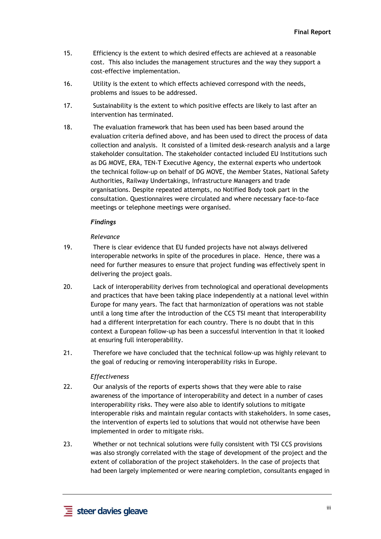- 15. Efficiency is the extent to which desired effects are achieved at a reasonable cost. This also includes the management structures and the way they support a cost-effective implementation.
- 16. Utility is the extent to which effects achieved correspond with the needs, problems and issues to be addressed.
- 17. Sustainability is the extent to which positive effects are likely to last after an intervention has terminated.
- 18. The evaluation framework that has been used has been based around the evaluation criteria defined above, and has been used to direct the process of data collection and analysis. It consisted of a limited desk-research analysis and a large stakeholder consultation. The stakeholder contacted included EU Institutions such as DG MOVE, ERA, TEN-T Executive Agency, the external experts who undertook the technical follow-up on behalf of DG MOVE, the Member States, National Safety Authorities, Railway Undertakings, Infrastructure Managers and trade organisations. Despite repeated attempts, no Notified Body took part in the consultation. Questionnaires were circulated and where necessary face-to-face meetings or telephone meetings were organised.

#### *Findings*

#### *Relevance*

- 19. There is clear evidence that EU funded projects have not always delivered interoperable networks in spite of the procedures in place. Hence, there was a need for further measures to ensure that project funding was effectively spent in delivering the project goals.
- 20. Lack of interoperability derives from technological and operational developments and practices that have been taking place independently at a national level within Europe for many years. The fact that harmonization of operations was not stable until a long time after the introduction of the CCS TSI meant that interoperability had a different interpretation for each country. There is no doubt that in this context a European follow-up has been a successful intervention in that it looked at ensuring full interoperability.
- 21. Therefore we have concluded that the technical follow-up was highly relevant to the goal of reducing or removing interoperability risks in Europe.

#### *Effectiveness*

- 22. Our analysis of the reports of experts shows that they were able to raise awareness of the importance of interoperability and detect in a number of cases interoperability risks. They were also able to identify solutions to mitigate interoperable risks and maintain regular contacts with stakeholders. In some cases, the intervention of experts led to solutions that would not otherwise have been implemented in order to mitigate risks.
- 23. Whether or not technical solutions were fully consistent with TSI CCS provisions was also strongly correlated with the stage of development of the project and the extent of collaboration of the project stakeholders. In the case of projects that had been largely implemented or were nearing completion, consultants engaged in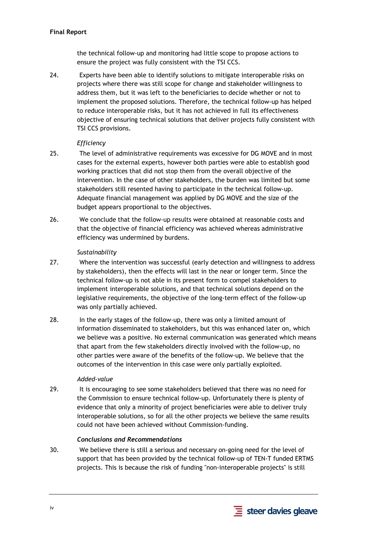### **Final Report**

the technical follow-up and monitoring had little scope to propose actions to ensure the project was fully consistent with the TSI CCS.

24. Experts have been able to identify solutions to mitigate interoperable risks on projects where there was still scope for change and stakeholder willingness to address them, but it was left to the beneficiaries to decide whether or not to implement the proposed solutions. Therefore, the technical follow-up has helped to reduce interoperable risks, but it has not achieved in full its effectiveness objective of ensuring technical solutions that deliver projects fully consistent with TSI CCS provisions.

### *Efficiency*

- 25. The level of administrative requirements was excessive for DG MOVE and in most cases for the external experts, however both parties were able to establish good working practices that did not stop them from the overall objective of the intervention. In the case of other stakeholders, the burden was limited but some stakeholders still resented having to participate in the technical follow-up. Adequate financial management was applied by DG MOVE and the size of the budget appears proportional to the objectives.
- 26. We conclude that the follow-up results were obtained at reasonable costs and that the objective of financial efficiency was achieved whereas administrative efficiency was undermined by burdens.

### *Sustainability*

- 27. Where the intervention was successful (early detection and willingness to address by stakeholders), then the effects will last in the near or longer term. Since the technical follow-up is not able in its present form to compel stakeholders to implement interoperable solutions, and that technical solutions depend on the legislative requirements, the objective of the long-term effect of the follow-up was only partially achieved.
- 28. In the early stages of the follow-up, there was only a limited amount of information disseminated to stakeholders, but this was enhanced later on, which we believe was a positive. No external communication was generated which means that apart from the few stakeholders directly involved with the follow-up, no other parties were aware of the benefits of the follow-up. We believe that the outcomes of the intervention in this case were only partially exploited.

### *Added-value*

29. It is encouraging to see some stakeholders believed that there was no need for the Commission to ensure technical follow-up. Unfortunately there is plenty of evidence that only a minority of project beneficiaries were able to deliver truly interoperable solutions, so for all the other projects we believe the same results could not have been achieved without Commission-funding.

#### *Conclusions and Recommendations*

30. We believe there is still a serious and necessary on-going need for the level of support that has been provided by the technical follow-up of TEN-T funded ERTMS projects. This is because the risk of funding "non-interoperable projects" is still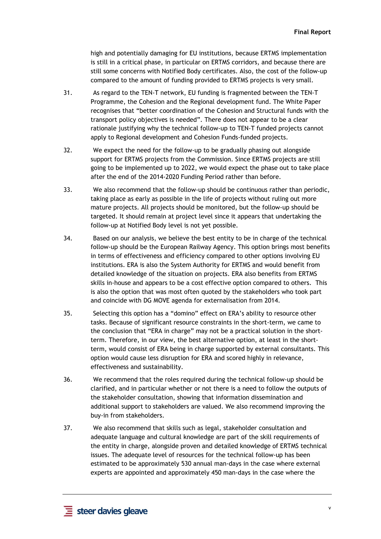high and potentially damaging for EU institutions, because ERTMS implementation is still in a critical phase, in particular on ERTMS corridors, and because there are still some concerns with Notified Body certificates. Also, the cost of the follow-up compared to the amount of funding provided to ERTMS projects is very small.

- 31. As regard to the TEN-T network, EU funding is fragmented between the TEN-T Programme, the Cohesion and the Regional development fund. The White Paper recognises that "better coordination of the Cohesion and Structural funds with the transport policy objectives is needed". There does not appear to be a clear rationale justifying why the technical follow-up to TEN-T funded projects cannot apply to Regional development and Cohesion Funds-funded projects.
- 32. We expect the need for the follow-up to be gradually phasing out alongside support for ERTMS projects from the Commission. Since ERTMS projects are still going to be implemented up to 2022, we would expect the phase out to take place after the end of the 2014-2020 Funding Period rather than before.
- 33. We also recommend that the follow-up should be continuous rather than periodic, taking place as early as possible in the life of projects without ruling out more mature projects. All projects should be monitored, but the follow-up should be targeted. It should remain at project level since it appears that undertaking the follow-up at Notified Body level is not yet possible.
- 34. Based on our analysis, we believe the best entity to be in charge of the technical follow-up should be the European Railway Agency. This option brings most benefits in terms of effectiveness and efficiency compared to other options involving EU institutions. ERA is also the System Authority for ERTMS and would benefit from detailed knowledge of the situation on projects. ERA also benefits from ERTMS skills in-house and appears to be a cost effective option compared to others. This is also the option that was most often quoted by the stakeholders who took part and coincide with DG MOVE agenda for externalisation from 2014.
- 35. Selecting this option has a "domino" effect on ERA's ability to resource other tasks. Because of significant resource constraints in the short-term, we came to the conclusion that "ERA in charge" may not be a practical solution in the shortterm. Therefore, in our view, the best alternative option, at least in the shortterm, would consist of ERA being in charge supported by external consultants. This option would cause less disruption for ERA and scored highly in relevance, effectiveness and sustainability.
- 36. We recommend that the roles required during the technical follow-up should be clarified, and in particular whether or not there is a need to follow the outputs of the stakeholder consultation, showing that information dissemination and additional support to stakeholders are valued. We also recommend improving the buy-in from stakeholders.
- 37. We also recommend that skills such as legal, stakeholder consultation and adequate language and cultural knowledge are part of the skill requirements of the entity in charge, alongside proven and detailed knowledge of ERTMS technical issues. The adequate level of resources for the technical follow-up has been estimated to be approximately 530 annual man-days in the case where external experts are appointed and approximately 450 man-days in the case where the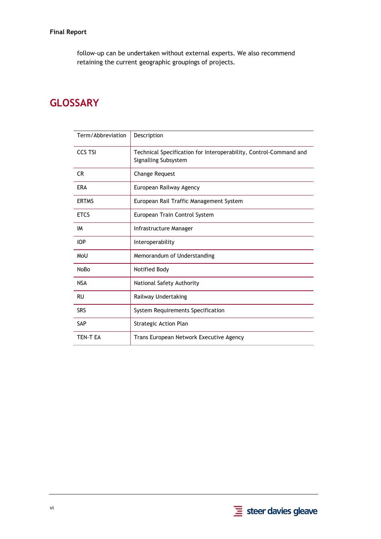follow-up can be undertaken without external experts. We also recommend retaining the current geographic groupings of projects.

# **GLOSSARY**

| Term/Abbreviation | Description                                                                               |
|-------------------|-------------------------------------------------------------------------------------------|
| <b>CCS TSI</b>    | Technical Specification for Interoperability, Control-Command and<br>Signalling Subsystem |
| CR.               | <b>Change Request</b>                                                                     |
| <b>ERA</b>        | European Railway Agency                                                                   |
| <b>ERTMS</b>      | European Rail Traffic Management System                                                   |
| <b>ETCS</b>       | European Train Control System                                                             |
| IM                | Infrastructure Manager                                                                    |
| <b>IOP</b>        | Interoperability                                                                          |
| MoU               | Memorandum of Understanding                                                               |
| <b>NoBo</b>       | Notified Body                                                                             |
| <b>NSA</b>        | National Safety Authority                                                                 |
| <b>RU</b>         | Railway Undertaking                                                                       |
| <b>SRS</b>        | System Requirements Specification                                                         |
| <b>SAP</b>        | Strategic Action Plan                                                                     |
| <b>TEN-T EA</b>   | Trans European Network Executive Agency                                                   |

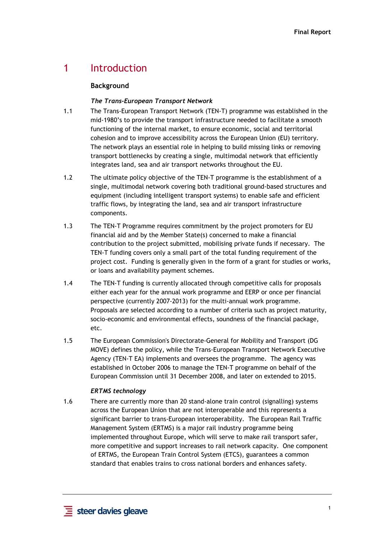## <span id="page-10-1"></span><span id="page-10-0"></span>1 Introduction

### **Background**

#### *The Trans-European Transport Network*

- 1.1 The Trans-European Transport Network (TEN-T) programme was established in the mid-1980's to provide the transport infrastructure needed to facilitate a smooth functioning of the internal market, to ensure economic, social and territorial cohesion and to improve accessibility across the European Union (EU) territory. The network plays an essential role in helping to build missing links or removing transport bottlenecks by creating a single, multimodal network that efficiently integrates land, sea and air transport networks throughout the EU.
- 1.2 The ultimate policy objective of the TEN-T programme is the establishment of a single, multimodal network covering both traditional ground-based structures and equipment (including intelligent transport systems) to enable safe and efficient traffic flows, by integrating the land, sea and air transport infrastructure components.
- 1.3 The TEN-T Programme requires commitment by the project promoters for EU financial aid and by the Member State(s) concerned to make a financial contribution to the project submitted, mobilising private funds if necessary. The TEN-T funding covers only a small part of the total funding requirement of the project cost. Funding is generally given in the form of a grant for studies or works, or loans and availability payment schemes.
- 1.4 The TEN-T funding is currently allocated through competitive calls for proposals either each year for the annual work programme and EERP or once per financial perspective (currently 2007-2013) for the multi-annual work programme. Proposals are selected according to a number of criteria such as project maturity, socio-economic and environmental effects, soundness of the financial package, etc.
- 1.5 The European Commission's Directorate-General for Mobility and Transport (DG MOVE) defines the policy, while the Trans-European Transport Network Executive Agency (TEN-T EA) implements and oversees the programme. The agency was established in October 2006 to manage the TEN-T programme on behalf of the European Commission until 31 December 2008, and later on extended to 2015.

### *ERTMS technology*

1.6 There are currently more than 20 stand-alone train control (signalling) systems across the European Union that are not interoperable and this represents a significant barrier to trans-European interoperability. The European Rail Traffic Management System (ERTMS) is a major rail industry programme being implemented throughout Europe, which will serve to make rail transport safer, more competitive and support increases to rail network capacity. One component of ERTMS, the European Train Control System (ETCS), guarantees a common standard that enables trains to cross national borders and enhances safety.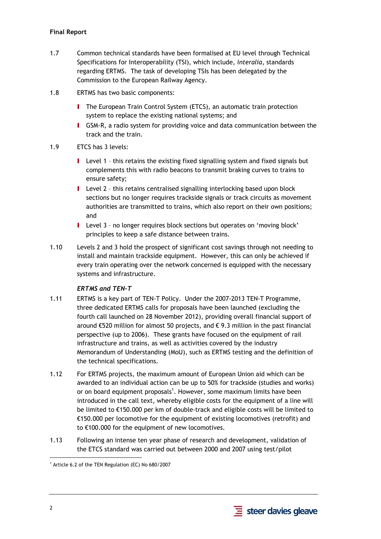## **Final Report**

- 1.7 Common technical standards have been formalised at EU level through Technical Specifications for Interoperability (TSI), which include, *interalia*, standards regarding ERTMS. The task of developing TSIs has been delegated by the Commission to the European Railway Agency.
- 1.8 ERTMS has two basic components:
	- **I** The European Train Control System (ETCS), an automatic train protection system to replace the existing national systems; and
	- I GSM-R, a radio system for providing voice and data communication between the track and the train.
- 1.9 ETCS has 3 levels:
	- I Level 1 this retains the existing fixed signalling system and fixed signals but complements this with radio beacons to transmit braking curves to trains to ensure safety;
	- I Level 2 this retains centralised signalling interlocking based upon block sections but no longer requires trackside signals or track circuits as movement authorities are transmitted to trains, which also report on their own positions; and
	- I Level 3 no longer requires block sections but operates on 'moving block' principles to keep a safe distance between trains.
- 1.10 Levels 2 and 3 hold the prospect of significant cost savings through not needing to install and maintain trackside equipment. However, this can only be achieved if every train operating over the network concerned is equipped with the necessary systems and infrastructure.

### *ERTMS and TEN-T*

- 1.11 ERTMS is a key part of TEN-T Policy. Under the 2007-2013 TEN-T Programme, three dedicated ERTMS calls for proposals have been launched (excluding the fourth call launched on 28 November 2012), providing overall financial support of around €520 million for almost 50 projects, and € 9.3 million in the past financial perspective (up to 2006). These grants have focused on the equipment of rail infrastructure and trains, as well as activities covered by the industry Memorandum of Understanding (MoU), such as ERTMS testing and the definition of the technical specifications.
- 1.12 For ERTMS projects, the maximum amount of European Union aid which can be awarded to an individual action can be up to 50% for trackside (studies and works) or on board equipment proposals<sup>1</sup>. However, some maximum limits have been introduced in the call text, whereby eligible costs for the equipment of a line will be limited to €150.000 per km of double-track and eligible costs will be limited to €150.000 per locomotive for the equipment of existing locomotives (retrofit) and to €100.000 for the equipment of new locomotives.
- 1.13 Following an intense ten year phase of research and development, validation of the ETCS standard was carried out between 2000 and 2007 using test/pilot

1

<sup>1</sup> Article 6.2 of the TEN Regulation (EC) No 680/2007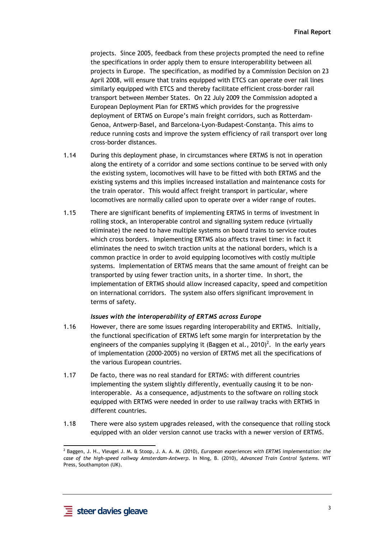projects. Since 2005, feedback from these projects prompted the need to refine the specifications in order apply them to ensure interoperability between all projects in Europe. The specification, as modified by a Commission Decision on 23 April 2008, will ensure that trains equipped with ETCS can operate over rail lines similarly equipped with ETCS and thereby facilitate efficient cross-border rail transport between Member States. On 22 July 2009 the Commission adopted a European Deployment Plan for ERTMS which provides for the progressive deployment of ERTMS on Europe's main freight corridors, such as Rotterdam-Genoa, Antwerp-Basel, and Barcelona-Lyon-Budapest-Constanţa. This aims to reduce running costs and improve the system efficiency of rail transport over long cross-border distances.

- 1.14 During this deployment phase, in circumstances where ERTMS is not in operation along the entirety of a corridor and some sections continue to be served with only the existing system, locomotives will have to be fitted with both ERTMS and the existing systems and this implies increased installation and maintenance costs for the train operator. This would affect freight transport in particular, where locomotives are normally called upon to operate over a wider range of routes.
- 1.15 There are significant benefits of implementing ERTMS in terms of investment in rolling stock, an interoperable control and signalling system reduce (virtually eliminate) the need to have multiple systems on board trains to service routes which cross borders. Implementing ERTMS also affects travel time: in fact it eliminates the need to switch traction units at the national borders, which is a common practice in order to avoid equipping locomotives with costly multiple systems. Implementation of ERTMS means that the same amount of freight can be transported by using fewer traction units, in a shorter time. In short, the implementation of ERTMS should allow increased capacity, speed and competition on international corridors. The system also offers significant improvement in terms of safety.

#### *Issues with the interoperability of ERTMS across Europe*

- 1.16 However, there are some issues regarding interoperability and ERTMS. Initially, the functional specification of ERTMS left some margin for interpretation by the engineers of the companies supplying it (Baggen et al., 2010)<sup>2</sup>. In the early years of implementation (2000-2005) no version of ERTMS met all the specifications of the various European countries.
- 1.17 De facto, there was no real standard for ERTMS: with different countries implementing the system slightly differently, eventually causing it to be noninteroperable. As a consequence, adjustments to the software on rolling stock equipped with ERTMS were needed in order to use railway tracks with ERTMS in different countries.
- 1.18 There were also system upgrades released, with the consequence that rolling stock equipped with an older version cannot use tracks with a newer version of ERTMS.

 $\overline{a}$ 

<sup>2</sup> Baggen, J. H., Vleugel J. M. & Stoop, J. A. A. M. (2010), *European experiences with ERTMS implementation: the case of the high-speed railway Amsterdam-Antwerp*. In Ning, B. (2010), *Advanced Train Control Systems*. WIT Press, Southampton (UK).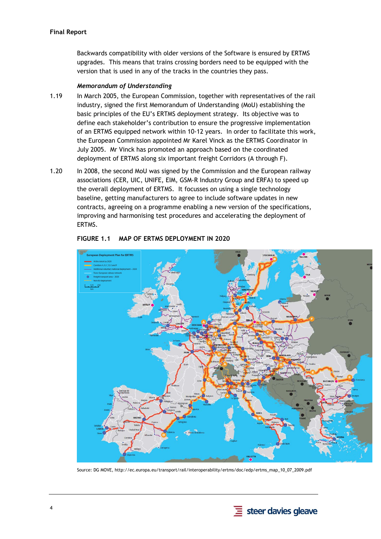Backwards compatibility with older versions of the Software is ensured by ERTMS upgrades. This means that trains crossing borders need to be equipped with the version that is used in any of the tracks in the countries they pass.

#### *Memorandum of Understanding*

- 1.19 In March 2005, the European Commission, together with representatives of the rail industry, signed the first Memorandum of Understanding (MoU) establishing the basic principles of the EU's ERTMS deployment strategy. Its objective was to define each stakeholder's contribution to ensure the progressive implementation of an ERTMS equipped network within 10-12 years. In order to facilitate this work, the European Commission appointed Mr Karel Vinck as the ERTMS Coordinator in July 2005. Mr Vinck has promoted an approach based on the coordinated deployment of ERTMS along six important freight Corridors (A through F).
- 1.20 In 2008, the second MoU was signed by the Commission and the European railway associations (CER, UIC, UNIFE, EIM, GSM-R Industry Group and ERFA) to speed up the overall deployment of ERTMS. It focusses on using a single technology baseline, getting manufacturers to agree to include software updates in new contracts, agreeing on a programme enabling a new version of the specifications, improving and harmonising test procedures and accelerating the deployment of ERTMS.

<span id="page-13-0"></span>

#### **FIGURE 1.1 MAP OF ERTMS DEPLOYMENT IN 2020**

Source: DG MOVE, http://ec.europa.eu/transport/rail/interoperability/ertms/doc/edp/ertms\_map\_10\_07\_2009.pdf

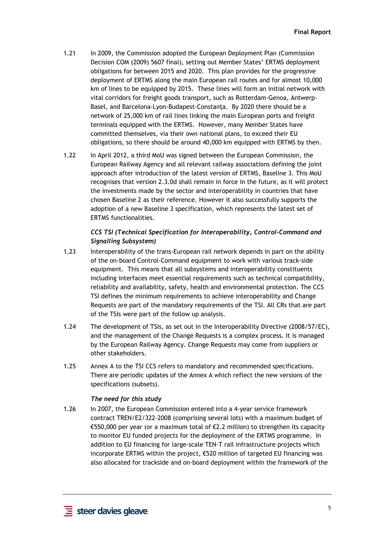- 1.21 In 2009, the Commission adopted the European Deployment Plan (Commission Decision COM (2009) 5607 final), setting out Member States' ERTMS deployment obligations for between 2015 and 2020. This plan provides for the progressive deployment of ERTMS along the main European rail routes and for almost 10,000 km of lines to be equipped by 2015. These lines will form an initial network with vital corridors for freight goods transport, such as Rotterdam-Genoa, Antwerp-Basel, and Barcelona-Lyon-Budapest-Constanta. By 2020 there should be a network of 25,000 km of rail lines linking the main European ports and freight terminals equipped with the ERTMS. However, many Member States have committed themselves, via their own national plans, to exceed their EU obligations, so there should be around 40,000 km equipped with ERTMS by then.
- 1.22 In April 2012, a third MoU was signed between the European Commission, the European Railway Agency and all relevant railway associations defining the joint approach after introduction of the latest version of ERTMS, Baseline 3. This MoU recognises that version 2.3.0d shall remain in force in the future, as it will protect the investments made by the sector and interoperability in countries that have chosen Baseline 2 as their reference. However it also successfully supports the adoption of a new Baseline 3 specification, which represents the latest set of ERTMS functionalities.

## *CCS TSI (Technical Specification for Interoperability, Control-Command and Signalling Subsystem)*

- 1.23 Interoperability of the trans-European rail network depends in part on the ability of the on-board Control-Command equipment to work with various track-side equipment. This means that all subsystems and interoperability constituents including interfaces meet essential requirements such as technical compatibility, reliability and availability, safety, health and environmental protection. The CCS TSI defines the minimum requirements to achieve interoperability and Change Requests are part of the mandatory requirements of the TSI. All CRs that are part of the TSIs were part of the follow up analysis.
- 1.24 The development of TSIs, as set out in the Interoperability Directive (2008/57/EC), and the management of the Change Requests is a complex process. It is managed by the European Railway Agency. Change Requests may come from suppliers or other stakeholders.
- 1.25 Annex A to the TSI CCS refers to mandatory and recommended specifications. There are periodic updates of the Annex A which reflect the new versions of the specifications (subsets).

#### *The need for this study*

1.26 In 2007, the European Commission entered into a 4-year service framework contract TREN/E2/322-2008 (comprising several lots) with a maximum budget of €550,000 per year (or a maximum total of €2.2 million) to strengthen its capacity to monitor EU funded projects for the deployment of the ERTMS programme. In addition to EU financing for large-scale TEN-T rail infrastructure projects which incorporate ERTMS within the project, €520 million of targeted EU financing was also allocated for trackside and on-board deployment within the framework of the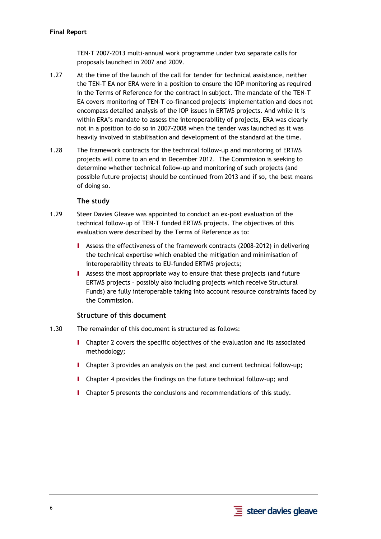TEN-T 2007-2013 multi-annual work programme under two separate calls for proposals launched in 2007 and 2009.

- 1.27 At the time of the launch of the call for tender for technical assistance, neither the TEN-T EA nor ERA were in a position to ensure the IOP monitoring as required in the Terms of Reference for the contract in subject. The mandate of the TEN-T EA covers monitoring of TEN-T co-financed projects' implementation and does not encompass detailed analysis of the IOP issues in ERTMS projects. And while it is within ERA's mandate to assess the interoperability of projects, ERA was clearly not in a position to do so in 2007-2008 when the tender was launched as it was heavily involved in stabilisation and development of the standard at the time.
- 1.28 The framework contracts for the technical follow-up and monitoring of ERTMS projects will come to an end in December 2012. The Commission is seeking to determine whether technical follow-up and monitoring of such projects (and possible future projects) should be continued from 2013 and if so, the best means of doing so.

## **The study**

- <span id="page-15-2"></span><span id="page-15-0"></span>1.29 Steer Davies Gleave was appointed to conduct an ex-post evaluation of the technical follow-up of TEN-T funded ERTMS projects. The objectives of this evaluation were described by the Terms of Reference as to:
	- I Assess the effectiveness of the framework contracts (2008-2012) in delivering the technical expertise which enabled the mitigation and minimisation of interoperability threats to EU-funded ERTMS projects;
	- I Assess the most appropriate way to ensure that these projects (and future ERTMS projects – possibly also including projects which receive Structural Funds) are fully interoperable taking into account resource constraints faced by the Commission.

### **Structure of this document**

- <span id="page-15-1"></span>1.30 The remainder of this document is structured as follows:
	- I Chapter 2 covers the specific objectives of the evaluation and its associated methodology;
	- I Chapter 3 provides an analysis on the past and current technical follow-up;
	- I Chapter 4 provides the findings on the future technical follow-up; and
	- I Chapter 5 presents the conclusions and recommendations of this study.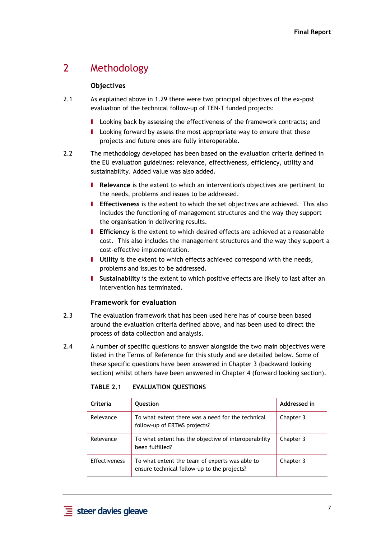## <span id="page-16-1"></span><span id="page-16-0"></span>2 Methodology

## **Objectives**

- 2.1 As explained above i[n 1.29](#page-15-2) there were two principal objectives of the ex-post evaluation of the technical follow-up of TEN-T funded projects:
	- **I** Looking back by assessing the effectiveness of the framework contracts; and
	- I Looking forward by assess the most appropriate way to ensure that these projects and future ones are fully interoperable.
- 2.2 The methodology developed has been based on the evaluation criteria defined in the EU evaluation guidelines: relevance, effectiveness, efficiency, utility and sustainability. Added value was also added.
	- I **Relevance** is the extent to which an intervention's objectives are pertinent to the needs, problems and issues to be addressed.
	- I **Effectiveness** is the extent to which the set objectives are achieved. This also includes the functioning of management structures and the way they support the organisation in delivering results.
	- I **Efficiency** is the extent to which desired effects are achieved at a reasonable cost. This also includes the management structures and the way they support a cost-effective implementation.
	- **I** Utility is the extent to which effects achieved correspond with the needs, problems and issues to be addressed.
	- I **Sustainability** is the extent to which positive effects are likely to last after an intervention has terminated.

### **Framework for evaluation**

- <span id="page-16-2"></span>2.3 The evaluation framework that has been used here has of course been based around the evaluation criteria defined above, and has been used to direct the process of data collection and analysis.
- <span id="page-16-3"></span>2.4 A number of specific questions to answer alongside the two main objectives were listed in the Terms of Reference for this study and are detailed below. Some of these specific questions have been answered in Chapter 3 (backward looking section) whilst others have been answered in Chapter 4 (forward looking section).

| Criteria             | Question                                                                                      | Addressed in |
|----------------------|-----------------------------------------------------------------------------------------------|--------------|
| Relevance            | To what extent there was a need for the technical<br>follow-up of ERTMS projects?             | Chapter 3    |
| Relevance            | To what extent has the objective of interoperability<br>been fulfilled?                       | Chapter 3    |
| <b>Effectiveness</b> | To what extent the team of experts was able to<br>ensure technical follow-up to the projects? | Chapter 3    |

#### **TABLE 2.1 EVALUATION QUESTIONS**

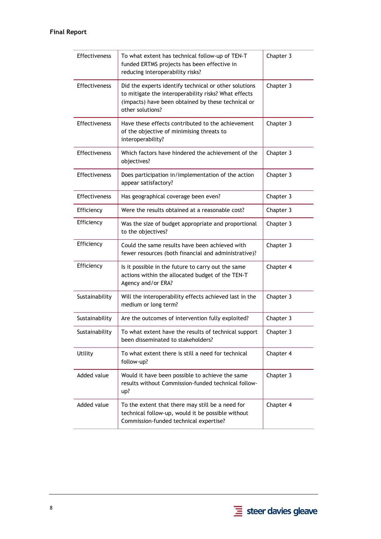| Effectiveness        | To what extent has technical follow-up of TEN-T<br>funded ERTMS projects has been effective in<br>reducing interoperability risks?                                                      | Chapter 3 |
|----------------------|-----------------------------------------------------------------------------------------------------------------------------------------------------------------------------------------|-----------|
| Effectiveness        | Did the experts identify technical or other solutions<br>to mitigate the interoperability risks? What effects<br>(impacts) have been obtained by these technical or<br>other solutions? | Chapter 3 |
| Effectiveness        | Have these effects contributed to the achievement<br>of the objective of minimising threats to<br>interoperability?                                                                     | Chapter 3 |
| Effectiveness        | Which factors have hindered the achievement of the<br>objectives?                                                                                                                       | Chapter 3 |
| <b>Effectiveness</b> | Does participation in/implementation of the action<br>appear satisfactory?                                                                                                              | Chapter 3 |
| Effectiveness        | Has geographical coverage been even?                                                                                                                                                    | Chapter 3 |
| Efficiency           | Were the results obtained at a reasonable cost?                                                                                                                                         | Chapter 3 |
| Efficiency           | Was the size of budget appropriate and proportional<br>to the objectives?                                                                                                               | Chapter 3 |
| Efficiency           | Could the same results have been achieved with<br>fewer resources (both financial and administrative)?                                                                                  | Chapter 3 |
| Efficiency           | Is it possible in the future to carry out the same<br>actions within the allocated budget of the TEN-T<br>Agency and/or ERA?                                                            | Chapter 4 |
| Sustainability       | Will the interoperability effects achieved last in the<br>medium or long term?                                                                                                          | Chapter 3 |
| Sustainability       | Are the outcomes of intervention fully exploited?                                                                                                                                       | Chapter 3 |
| Sustainability       | To what extent have the results of technical support<br>been disseminated to stakeholders?                                                                                              | Chapter 3 |
| Utility              | To what extent there is still a need for technical<br>follow-up?                                                                                                                        | Chapter 4 |
| Added value          | Would it have been possible to achieve the same<br>results without Commission-funded technical follow-<br>up?                                                                           | Chapter 3 |
| Added value          | To the extent that there may still be a need for<br>technical follow-up, would it be possible without<br>Commission-funded technical expertise?                                         | Chapter 4 |

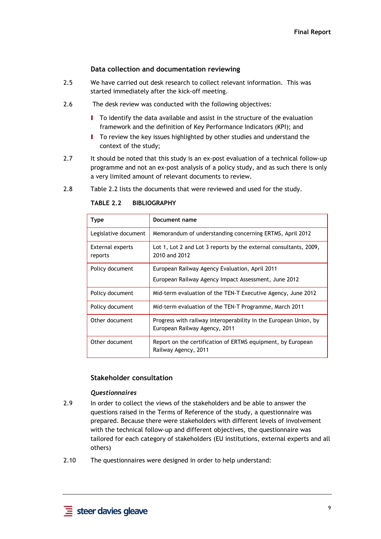#### **Data collection and documentation reviewing**

- <span id="page-18-0"></span>2.5 We have carried out desk research to collect relevant information. This was started immediately after the kick-off meeting.
- 2.6 The desk review was conducted with the following objectives:
	- I To identify the data available and assist in the structure of the evaluation framework and the definition of Key Performance Indicators (KPI); and
	- I To review the key issues highlighted by other studies and understand the context of the study;
- 2.7 It should be noted that this study is an ex-post evaluation of a technical follow-up programme and not an ex-post analysis of a policy study, and as such there is only a very limited amount of relevant documents to review.
- <span id="page-18-2"></span>2.8 [Table 2.2](#page-18-2) lists the documents that were reviewed and used for the study.

| Type                        | Document name                                                                                     |  |  |
|-----------------------------|---------------------------------------------------------------------------------------------------|--|--|
| Legislative document        | Memorandum of understanding concerning ERTMS, April 2012                                          |  |  |
| External experts<br>reports | Lot 1, Lot 2 and Lot 3 reports by the external consultants, 2009,<br>2010 and 2012                |  |  |
| Policy document             | European Railway Agency Evaluation, April 2011                                                    |  |  |
|                             | European Railway Agency Impact Assessment, June 2012                                              |  |  |
| Policy document             | Mid-term evaluation of the TEN-T Executive Agency, June 2012                                      |  |  |
| Policy document             | Mid-term evaluation of the TEN-T Programme, March 2011                                            |  |  |
| Other document              | Progress with railway interoperability in the European Union, by<br>European Railway Agency, 2011 |  |  |
| Other document              | Report on the certification of ERTMS equipment, by European<br>Railway Agency, 2011               |  |  |

**TABLE 2.2 BIBLIOGRAPHY** 

#### **Stakeholder consultation**

#### *Questionnaires*

- <span id="page-18-1"></span>2.9 In order to collect the views of the stakeholders and be able to answer the questions raised in the Terms of Reference of the study, a questionnaire was prepared. Because there were stakeholders with different levels of involvement with the technical follow-up and different objectives, the questionnaire was tailored for each category of stakeholders (EU institutions, external experts and all others)
- 2.10 The questionnaires were designed in order to help understand: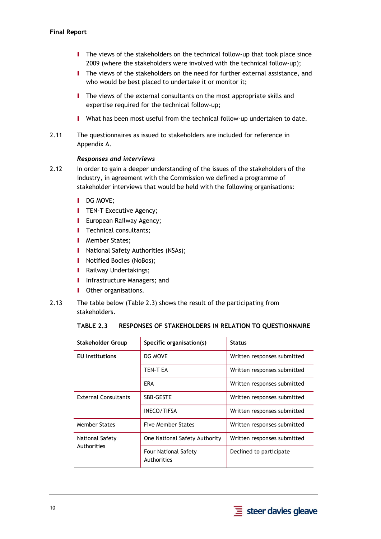- I The views of the stakeholders on the technical follow-up that took place since 2009 (where the stakeholders were involved with the technical follow-up);
- I The views of the stakeholders on the need for further external assistance, and who would be best placed to undertake it or monitor it;
- **I** The views of the external consultants on the most appropriate skills and expertise required for the technical follow-up;
- I What has been most useful from the technical follow-up undertaken to date.
- 2.11 The questionnaires as issued to stakeholders are included for reference in Appendix A.

#### *Responses and interviews*

- 2.12 In order to gain a deeper understanding of the issues of the stakeholders of the industry, in agreement with the Commission we defined a programme of stakeholder interviews that would be held with the following organisations:
	- **I** DG MOVE:
	- **I** TEN-T Executive Agency;
	- **I** European Railway Agency;
	- **I** Technical consultants;
	- **I** Member States;
	- **I** National Safety Authorities (NSAs);
	- **I** Notified Bodies (NoBos);
	- **I** Railway Undertakings;
	- **I** Infrastructure Managers; and
	- **I** Other organisations.
- <span id="page-19-0"></span>2.13 The table below (Table 2.3) shows the result of the participating from stakeholders.

|  | TABLE 2.3 RESPONSES OF STAKEHOLDERS IN RELATION TO QUESTIONNAIRE |
|--|------------------------------------------------------------------|
|--|------------------------------------------------------------------|

| Stakeholder Group              | Specific organisation(s)                   | <b>Status</b>               |  |
|--------------------------------|--------------------------------------------|-----------------------------|--|
| <b>EU</b> Institutions         | DG MOVE                                    | Written responses submitted |  |
|                                | TEN T EA                                   | Written responses submitted |  |
|                                | <b>ERA</b>                                 | Written responses submitted |  |
| <b>External Consultants</b>    | <b>SBB-GESTE</b>                           | Written responses submitted |  |
|                                | <b>INECO/TIFSA</b>                         | Written responses submitted |  |
| <b>Member States</b>           | <b>Five Member States</b>                  | Written responses submitted |  |
| National Safety<br>Authorities | One National Safety Authority              | Written responses submitted |  |
|                                | <b>Four National Safety</b><br>Authorities | Declined to participate     |  |

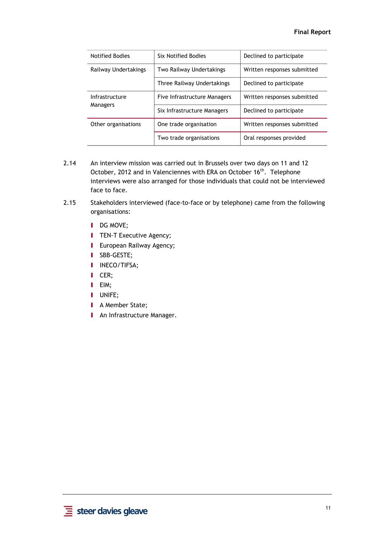| <b>Notified Bodies</b> | <b>Six Notified Bodies</b>   | Declined to participate     |
|------------------------|------------------------------|-----------------------------|
| Railway Undertakings   | Two Railway Undertakings     | Written responses submitted |
|                        | Three Railway Undertakings   | Declined to participate     |
| Infrastructure         | Five Infrastructure Managers | Written responses submitted |
| <b>Managers</b>        | Six Infrastructure Managers  | Declined to participate     |
| Other organisations    | One trade organisation       | Written responses submitted |
|                        | Two trade organisations      | Oral responses provided     |

- 2.14 An interview mission was carried out in Brussels over two days on 11 and 12 October, 2012 and in Valenciennes with ERA on October 16<sup>th</sup>. Telephone interviews were also arranged for those individuals that could not be interviewed face to face.
- 2.15 Stakeholders interviewed (face-to-face or by telephone) came from the following organisations:
	- **I** DG MOVE;
	- **I** TEN-T Executive Agency;
	- **I** European Railway Agency;
	- I SBB-GESTE;
	- I INECO/TIFSA;
	- I CER;
	- I EIM;
	- I UNIFE;
	- **I** A Member State:
	- **I** An Infrastructure Manager.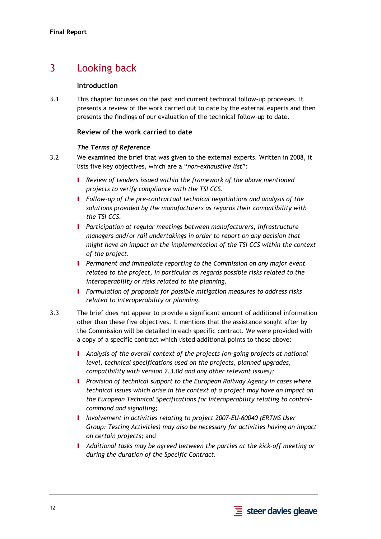# <span id="page-21-1"></span><span id="page-21-0"></span>3 Looking back

### **Introduction**

3.1 This chapter focusses on the past and current technical follow-up processes. It presents a review of the work carried out to date by the external experts and then presents the findings of our evaluation of the technical follow-up to date.

## **Review of the work carried to date**

### *The Terms of Reference*

- <span id="page-21-2"></span>3.2 We examined the brief that was given to the external experts. Written in 2008, it lists five key objectives, which are a "*non-exhaustive list*":
	- I *Review of tenders issued within the framework of the above mentioned projects to verify compliance with the TSI CCS.*
	- I *Follow-up of the pre-contractual technical negotiations and analysis of the solutions provided by the manufacturers as regards their compatibility with the TSI CCS.*
	- I *Participation at regular meetings between manufacturers, infrastructure managers and/or rail undertakings in order to report on any decision that might have an impact on the implementation of the TSI CCS within the context of the project.*
	- I *Permanent and immediate reporting to the Commission on any major event related to the project, in particular as regards possible risks related to the interoperability or risks related to the planning.*
	- I *Formulation of proposals for possible mitigation measures to address risks related to interoperability or planning.*
- 3.3 The brief does not appear to provide a significant amount of additional information other than these five objectives. It mentions that the assistance sought after by the Commission will be detailed in each specific contract. We were provided with a copy of a specific contract which listed additional points to those above:
	- I *Analysis of the overall context of the projects (on-going projects at national level, technical specifications used on the projects, planned upgrades, compatibility with version 2.3.0d and any other relevant issues);*
	- I *Provision of technical support to the European Railway Agency in cases where technical issues which arise in the context of a project may have an impact on the European Technical Specifications for Interoperability relating to controlcommand and signalling;*
	- I *Involvement in activities relating to project 2007-EU-60040 (ERTMS User Group: Testing Activities) may also be necessary for activities having an impact on certain projects;* and
	- I *Additional tasks may be agreed between the parties at the kick-off meeting or during the duration of the Specific Contract.*

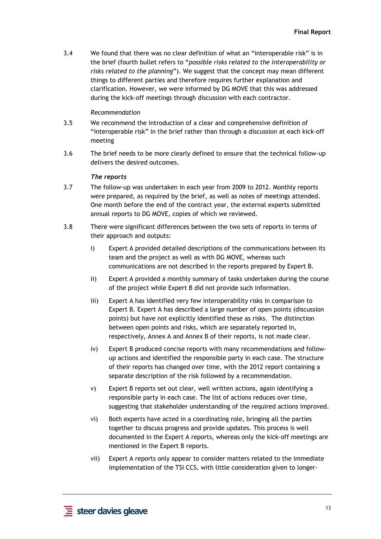3.4 We found that there was no clear definition of what an "interoperable risk" is in the brief (fourth bullet refers to "*possible risks related to the interoperability or risks related to the planning*"). We suggest that the concept may mean different things to different parties and therefore requires further explanation and clarification. However, we were informed by DG MOVE that this was addressed during the kick-off meetings through discussion with each contractor.

#### *Recommendation*

- 3.5 We recommend the introduction of a clear and comprehensive definition of "interoperable risk" in the brief rather than through a discussion at each kick-off meeting
- 3.6 The brief needs to be more clearly defined to ensure that the technical follow-up delivers the desired outcomes.

#### *The reports*

- 3.7 The follow-up was undertaken in each year from 2009 to 2012. Monthly reports were prepared, as required by the brief, as well as notes of meetings attended. One month before the end of the contract year, the external experts submitted annual reports to DG MOVE, copies of which we reviewed.
- 3.8 There were significant differences between the two sets of reports in terms of their approach and outputs:
	- i) Expert A provided detailed descriptions of the communications between its team and the project as well as with DG MOVE, whereas such communications are not described in the reports prepared by Expert B.
	- ii) Expert A provided a monthly summary of tasks undertaken during the course of the project while Expert B did not provide such information.
	- iii) Expert A has identified very few interoperability risks in comparison to Expert B. Expert A has described a large number of open points (discussion points) but have not explicitly identified these as risks. The distinction between open points and risks, which are separately reported in, respectively, Annex A and Annex B of their reports, is not made clear.
	- iv) Expert B produced concise reports with many recommendations and followup actions and identified the responsible party in each case. The structure of their reports has changed over time, with the 2012 report containing a separate description of the risk followed by a recommendation.
	- v) Expert B reports set out clear, well written actions, again identifying a responsible party in each case. The list of actions reduces over time, suggesting that stakeholder understanding of the required actions improved.
	- vi) Both experts have acted in a coordinating role, bringing all the parties together to discuss progress and provide updates. This process is well documented in the Expert A reports, whereas only the kick-off meetings are mentioned in the Expert B reports.
	- vii) Expert A reports only appear to consider matters related to the immediate implementation of the TSI CCS, with little consideration given to longer-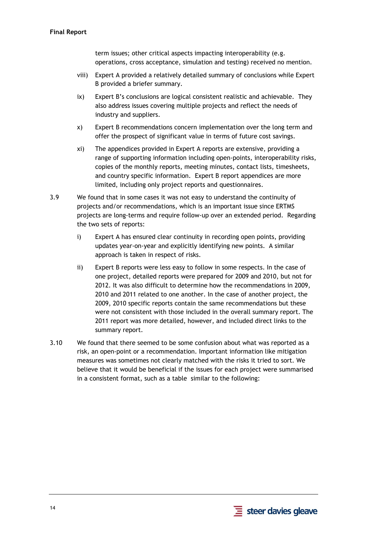term issues; other critical aspects impacting interoperability (e.g. operations, cross acceptance, simulation and testing) received no mention.

- viii) Expert A provided a relatively detailed summary of conclusions while Expert B provided a briefer summary.
- ix) Expert B's conclusions are logical consistent realistic and achievable. They also address issues covering multiple projects and reflect the needs of industry and suppliers.
- x) Expert B recommendations concern implementation over the long term and offer the prospect of significant value in terms of future cost savings.
- xi) The appendices provided in Expert A reports are extensive, providing a range of supporting information including open-points, interoperability risks, copies of the monthly reports, meeting minutes, contact lists, timesheets, and country specific information. Expert B report appendices are more limited, including only project reports and questionnaires.
- <span id="page-23-0"></span>3.9 We found that in some cases it was not easy to understand the continuity of projects and/or recommendations, which is an important issue since ERTMS projects are long-terms and require follow-up over an extended period. Regarding the two sets of reports:
	- i) Expert A has ensured clear continuity in recording open points, providing updates year-on-year and explicitly identifying new points. A similar approach is taken in respect of risks.
	- ii) Expert B reports were less easy to follow in some respects. In the case of one project, detailed reports were prepared for 2009 and 2010, but not for 2012. It was also difficult to determine how the recommendations in 2009, 2010 and 2011 related to one another. In the case of another project, the 2009, 2010 specific reports contain the same recommendations but these were not consistent with those included in the overall summary report. The 2011 report was more detailed, however, and included direct links to the summary report.
- 3.10 We found that there seemed to be some confusion about what was reported as a risk, an open-point or a recommendation. Important information like mitigation measures was sometimes not clearly matched with the risks it tried to sort. We believe that it would be beneficial if the issues for each project were summarised in a consistent format, such as a table similar to the following:

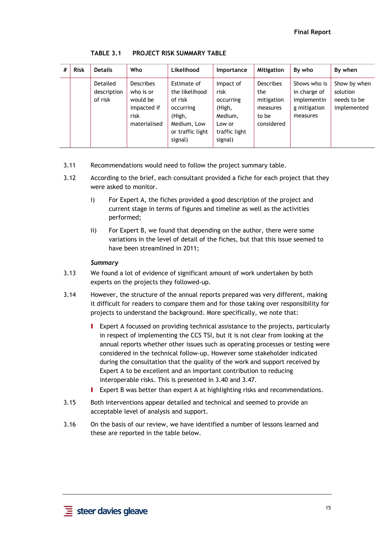<span id="page-24-0"></span>

| # | <b>Risk</b> | <b>Details</b>                     | Who                                                                              | Likelihood                                                                                                    | <b>Importance</b>                                                                         | Mitigation                                                               | By who                                                                  | By when                                                |
|---|-------------|------------------------------------|----------------------------------------------------------------------------------|---------------------------------------------------------------------------------------------------------------|-------------------------------------------------------------------------------------------|--------------------------------------------------------------------------|-------------------------------------------------------------------------|--------------------------------------------------------|
|   |             | Detailed<br>description<br>of risk | <b>Describes</b><br>who is or<br>would be<br>impacted if<br>risk<br>materialised | Estimate of<br>the likelihood<br>of risk<br>occurring<br>(High,<br>Medium, Low<br>or traffic light<br>signal) | Impact of<br>risk<br>occurring<br>(High,<br>Medium,<br>Low or<br>traffic light<br>signal) | <b>Describes</b><br>the<br>mitigation<br>measures<br>to be<br>considered | Shows who is<br>in charge of<br>implementin<br>g mitigation<br>measures | Show by when<br>solution<br>needs to be<br>implemented |

**TABLE 3.1 PROJECT RISK SUMMARY TABLE** 

- 3.11 Recommendations would need to follow the project summary table.
- 3.12 According to the brief, each consultant provided a fiche for each project that they were asked to monitor.
	- i) For Expert A, the fiches provided a good description of the project and current stage in terms of figures and timeline as well as the activities performed;
	- ii) For Expert B, we found that depending on the author, there were some variations in the level of detail of the fiches, but that this issue seemed to have been streamlined in 2011;

#### *Summary*

- 3.13 We found a lot of evidence of significant amount of work undertaken by both experts on the projects they followed-up.
- 3.14 However, the structure of the annual reports prepared was very different, making it difficult for readers to compare them and for those taking over responsibility for projects to understand the background. More specifically, we note that:
	- I Expert A focussed on providing technical assistance to the projects, particularly in respect of implementing the CCS TSI, but it is not clear from looking at the annual reports whether other issues such as operating processes or testing were considered in the technical follow-up. However some stakeholder indicated during the consultation that the quality of the work and support received by Expert A to be excellent and an important contribution to reducing interoperable risks. This is presented i[n 3.40](#page-30-1) an[d 3.47.](#page-32-1)
	- Expert B was better than expert A at highlighting risks and recommendations.
- 3.15 Both interventions appear detailed and technical and seemed to provide an acceptable level of analysis and support.
- 3.16 On the basis of our review, we have identified a number of lessons learned and these are reported in the table below.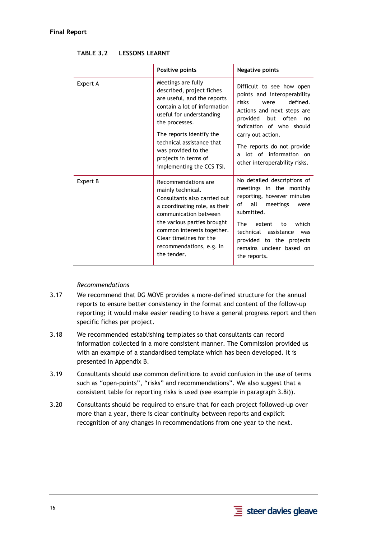<span id="page-25-0"></span>

|          | Positive points                                                                                                                                                                                                                                                       | <b>Negative points</b>                                                                                                                                                                                                                                                               |  |
|----------|-----------------------------------------------------------------------------------------------------------------------------------------------------------------------------------------------------------------------------------------------------------------------|--------------------------------------------------------------------------------------------------------------------------------------------------------------------------------------------------------------------------------------------------------------------------------------|--|
| Expert A | Meetings are fully<br>described, project fiches<br>are useful, and the reports<br>contain a lot of information<br>useful for understanding<br>the processes.<br>The reports identify the<br>technical assistance that<br>was provided to the                          | Difficult to see how open<br>points and interoperability<br>defined.<br>risks<br>were<br>Actions and next steps are<br>provided but often<br>no<br>indication of who should<br>carry out action.<br>The reports do not provide<br>a lot of information on                            |  |
|          | projects in terms of<br>implementing the CCS TSI.                                                                                                                                                                                                                     | other interoperability risks.                                                                                                                                                                                                                                                        |  |
| Expert B | Recommendations are<br>mainly technical.<br>Consultants also carried out<br>a coordinating role, as their<br>communication between<br>the various parties brought<br>common interests together.<br>Clear timelines for the<br>recommendations, e.g. in<br>the tender. | No detailed descriptions of<br>meetings in the monthly<br>reporting, however minutes<br>all<br>of<br>meetings<br>were<br>submitted.<br><b>The</b><br>which<br>extent<br>to<br>technical<br>assistance<br>was<br>provided to the projects<br>remains unclear based on<br>the reports. |  |

#### **TABLE 3.2 LESSONS LEARNT**

#### *Recommendations*

- 3.17 We recommend that DG MOVE provides a more-defined structure for the annual reports to ensure better consistency in the format and content of the follow-up reporting; it would make easier reading to have a general progress report and then specific fiches per project.
- 3.18 We recommended establishing templates so that consultants can record information collected in a more consistent manner. The Commission provided us with an example of a standardised template which has been developed. It is presented in Appendix B.
- 3.19 Consultants should use common definitions to avoid confusion in the use of terms such as "open-points", "risks" and recommendations". We also suggest that a consistent table for reporting risks is used (see example in paragrap[h 3.8i\)\)](#page-23-0).
- 3.20 Consultants should be required to ensure that for each project followed-up over more than a year, there is clear continuity between reports and explicit recognition of any changes in recommendations from one year to the next.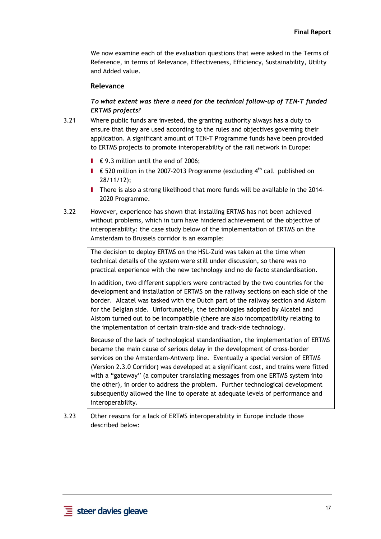We now examine each of the evaluation questions that were asked in the Terms of Reference, in terms of Relevance, Effectiveness, Efficiency, Sustainability, Utility and Added value.

#### **Relevance**

## *To what extent was there a need for the technical follow-up of TEN-T funded ERTMS projects?*

- <span id="page-26-0"></span>3.21 Where public funds are invested, the granting authority always has a duty to ensure that they are used according to the rules and objectives governing their application. A significant amount of TEN-T Programme funds have been provided to ERTMS projects to promote interoperability of the rail network in Europe:
	- **I** € 9.3 million until the end of 2006:
	- **I** € 520 million in the 2007-2013 Programme (excluding  $4<sup>th</sup>$  call published on 28/11/12);
	- I There is also a strong likelihood that more funds will be available in the 2014- 2020 Programme.
- 3.22 However, experience has shown that installing ERTMS has not been achieved without problems, which in turn have hindered achievement of the objective of interoperability: the case study below of the implementation of ERTMS on the Amsterdam to Brussels corridor is an example:

The decision to deploy ERTMS on the HSL-Zuid was taken at the time when technical details of the system were still under discussion, so there was no practical experience with the new technology and no de facto standardisation.

In addition, two different suppliers were contracted by the two countries for the development and installation of ERTMS on the railway sections on each side of the border. Alcatel was tasked with the Dutch part of the railway section and Alstom for the Belgian side. Unfortunately, the technologies adopted by Alcatel and Alstom turned out to be incompatible (there are also incompatibility relating to the implementation of certain train-side and track-side technology.

Because of the lack of technological standardisation, the implementation of ERTMS became the main cause of serious delay in the development of cross-border services on the Amsterdam-Antwerp line. Eventually a special version of ERTMS (Version 2.3.0 Corridor) was developed at a significant cost, and trains were fitted with a "gateway" (a computer translating messages from one ERTMS system into the other), in order to address the problem. Further technological development subsequently allowed the line to operate at adequate levels of performance and interoperability.

3.23 Other reasons for a lack of ERTMS interoperability in Europe include those described below: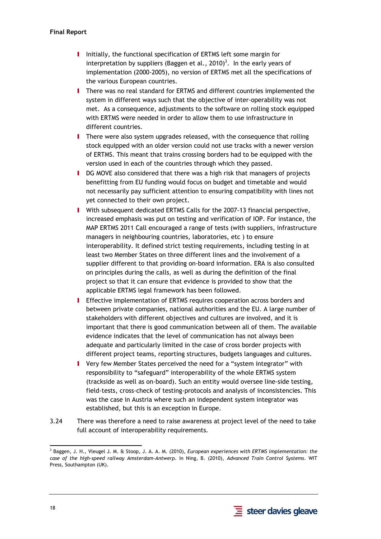- I Initially, the functional specification of ERTMS left some margin for interpretation by suppliers (Baggen et al., 2010)<sup>3</sup>. In the early years of implementation (2000-2005), no version of ERTMS met all the specifications of the various European countries.
- I There was no real standard for ERTMS and different countries implemented the system in different ways such that the objective of inter-operability was not met. As a consequence, adjustments to the software on rolling stock equipped with ERTMS were needed in order to allow them to use infrastructure in different countries.
- I There were also system upgrades released, with the consequence that rolling stock equipped with an older version could not use tracks with a newer version of ERTMS. This meant that trains crossing borders had to be equipped with the version used in each of the countries through which they passed.
- I DG MOVE also considered that there was a high risk that managers of projects benefitting from EU funding would focus on budget and timetable and would not necessarily pay sufficient attention to ensuring compatibility with lines not yet connected to their own project.
- I With subsequent dedicated ERTMS Calls for the 2007-13 financial perspective, increased emphasis was put on testing and verification of IOP. For instance, the MAP ERTMS 2011 Call encouraged a range of tests (with suppliers, infrastructure managers in neighbouring countries, laboratories, etc ) to ensure interoperability. It defined strict testing requirements, including testing in at least two Member States on three different lines and the involvement of a supplier different to that providing on-board information. ERA is also consulted on principles during the calls, as well as during the definition of the final project so that it can ensure that evidence is provided to show that the applicable ERTMS legal framework has been followed.
- **I** Effective implementation of ERTMS requires cooperation across borders and between private companies, national authorities and the EU. A large number of stakeholders with different objectives and cultures are involved, and it is important that there is good communication between all of them. The available evidence indicates that the level of communication has not always been adequate and particularly limited in the case of cross border projects with different project teams, reporting structures, budgets languages and cultures.
- I Very few Member States perceived the need for a "system integrator" with responsibility to "safeguard" interoperability of the whole ERTMS system (trackside as well as on-board). Such an entity would oversee line-side testing, field-tests, cross-check of testing-protocols and analysis of inconsistencies. This was the case in Austria where such an independent system integrator was established, but this is an exception in Europe.
- 3.24 There was therefore a need to raise awareness at project level of the need to take full account of interoperability requirements.



<sup>-</sup>3 Baggen, J. H., Vleugel J. M. & Stoop, J. A. A. M. (2010), *European experiences with ERTMS implementation: the case of the high-speed railway Amsterdam-Antwerp*. In Ning, B. (2010), *Advanced Train Control Systems*. WIT Press, Southampton (UK).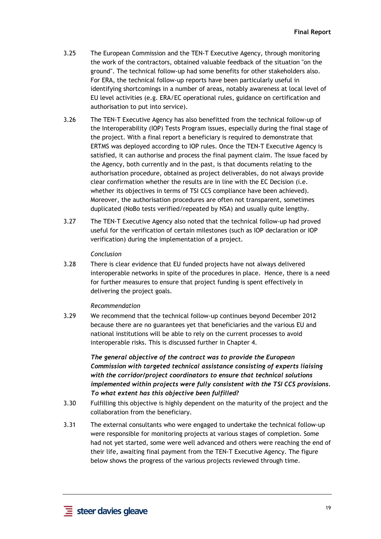- 3.25 The European Commission and the TEN-T Executive Agency, through monitoring the work of the contractors, obtained valuable feedback of the situation "on the ground". The technical follow-up had some benefits for other stakeholders also. For ERA, the technical follow-up reports have been particularly useful in identifying shortcomings in a number of areas, notably awareness at local level of EU level activities (e.g. ERA/EC operational rules, guidance on certification and authorisation to put into service).
- 3.26 The TEN-T Executive Agency has also benefitted from the technical follow-up of the Interoperability (IOP) Tests Program issues, especially during the final stage of the project. With a final report a beneficiary is required to demonstrate that ERTMS was deployed according to IOP rules. Once the TEN-T Executive Agency is satisfied, it can authorise and process the final payment claim. The issue faced by the Agency, both currently and in the past, is that documents relating to the authorisation procedure, obtained as project deliverables, do not always provide clear confirmation whether the results are in line with the EC Decision (i.e. whether its objectives in terms of TSI CCS compliance have been achieved). Moreover, the authorisation procedures are often not transparent, sometimes duplicated (NoBo tests verified/repeated by NSA) and usually quite lengthy.
- 3.27 The TEN-T Executive Agency also noted that the technical follow-up had proved useful for the verification of certain milestones (such as IOP declaration or IOP verification) during the implementation of a project.

#### *Conclusion*

3.28 There is clear evidence that EU funded projects have not always delivered interoperable networks in spite of the procedures in place. Hence, there is a need for further measures to ensure that project funding is spent effectively in delivering the project goals.

#### *Recommendation*

3.29 We recommend that the technical follow-up continues beyond December 2012 because there are no guarantees yet that beneficiaries and the various EU and national institutions will be able to rely on the current processes to avoid interoperable risks. This is discussed further in Chapter 4.

> *The general objective of the contract was to provide the European Commission with targeted technical assistance consisting of experts liaising with the corridor/project coordinators to ensure that technical solutions implemented within projects were fully consistent with the TSI CCS provisions. To what extent has this objective been fulfilled?*

- 3.30 Fulfilling this objective is highly dependent on the maturity of the project and the collaboration from the beneficiary.
- 3.31 The external consultants who were engaged to undertake the technical follow-up were responsible for monitoring projects at various stages of completion. Some had not yet started, some were well advanced and others were reaching the end of their life, awaiting final payment from the TEN-T Executive Agency. The figure below shows the progress of the various projects reviewed through time.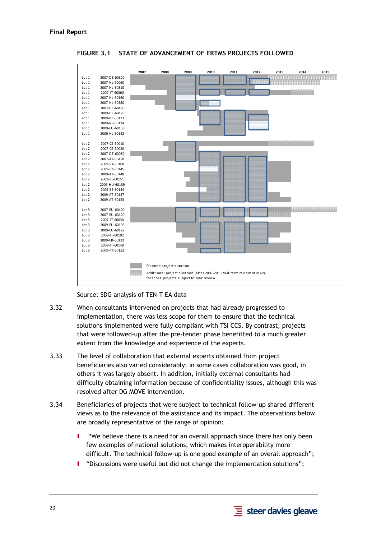<span id="page-29-0"></span>

**FIGURE 3.1 STATE OF ADVANCEMENT OF ERTMS PROJECTS FOLLOWED** 

Source: SDG analysis of TEN-T EA data

- <span id="page-29-2"></span>3.32 When consultants intervened on projects that had already progressed to implementation, there was less scope for them to ensure that the technical solutions implemented were fully compliant with TSI CCS. By contrast, projects that were followed-up after the pre-tender phase benefitted to a much greater extent from the knowledge and experience of the experts.
- <span id="page-29-1"></span>3.33 The level of collaboration that external experts obtained from project beneficiaries also varied considerably: in some cases collaboration was good, in others it was largely absent. In addition, initially external consultants had difficulty obtaining information because of confidentiality issues, although this was resolved after DG MOVE intervention.
- 3.34 Beneficiaries of projects that were subject to technical follow-up shared different views as to the relevance of the assistance and its impact. The observations below are broadly representative of the range of opinion:
	- I "We believe there is a need for an overall approach since there has only been few examples of national solutions, which makes interoperability more difficult. The technical follow-up is one good example of an overall approach";
	- I "Discussions were useful but did not change the implementation solutions";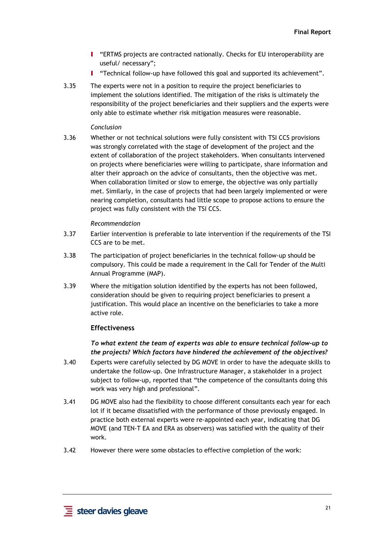- I "ERTMS projects are contracted nationally. Checks for EU interoperability are useful/ necessary";
- I "Technical follow-up have followed this goal and supported its achievement".
- <span id="page-30-3"></span>3.35 The experts were not in a position to require the project beneficiaries to implement the solutions identified. The mitigation of the risks is ultimately the responsibility of the project beneficiaries and their suppliers and the experts were only able to estimate whether risk mitigation measures were reasonable.

#### *Conclusion*

3.36 Whether or not technical solutions were fully consistent with TSI CCS provisions was strongly correlated with the stage of development of the project and the extent of collaboration of the project stakeholders. When consultants intervened on projects where beneficiaries were willing to participate, share information and alter their approach on the advice of consultants, then the objective was met. When collaboration limited or slow to emerge, the objective was only partially met. Similarly, in the case of projects that had been largely implemented or were nearing completion, consultants had little scope to propose actions to ensure the project was fully consistent with the TSI CCS.

#### *Recommendation*

- 3.37 Earlier intervention is preferable to late intervention if the requirements of the TSI CCS are to be met.
- 3.38 The participation of project beneficiaries in the technical follow-up should be compulsory. This could be made a requirement in the Call for Tender of the Multi Annual Programme (MAP).
- 3.39 Where the mitigation solution identified by the experts has not been followed, consideration should be given to requiring project beneficiaries to present a justification. This would place an incentive on the beneficiaries to take a more active role.

#### **Effectiveness**

*To what extent the team of experts was able to ensure technical follow-up to the projects? Which factors have hindered the achievement of the objectives?* 

- <span id="page-30-1"></span><span id="page-30-0"></span>3.40 Experts were carefully selected by DG MOVE in order to have the adequate skills to undertake the follow-up. One Infrastructure Manager, a stakeholder in a project subject to follow-up, reported that "the competence of the consultants doing this work was very high and professional".
- 3.41 DG MOVE also had the flexibility to choose different consultants each year for each lot if it became dissatisfied with the performance of those previously engaged. In practice both external experts were re-appointed each year, indicating that DG MOVE (and TEN-T EA and ERA as observers) was satisfied with the quality of their work.
- <span id="page-30-2"></span>3.42 However there were some obstacles to effective completion of the work: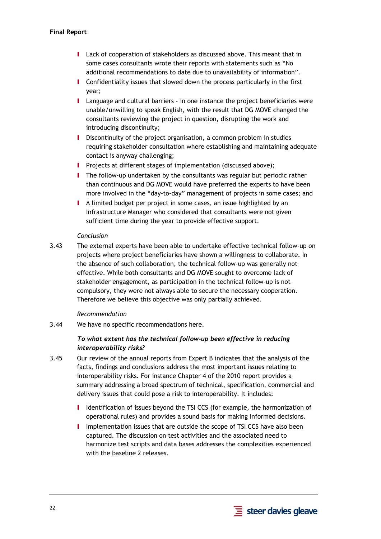- I Lack of cooperation of stakeholders as discussed above. This meant that in some cases consultants wrote their reports with statements such as "No additional recommendations to date due to unavailability of information".
- I Confidentiality issues that slowed down the process particularly in the first year;
- I Language and cultural barriers in one instance the project beneficiaries were unable/unwilling to speak English, with the result that DG MOVE changed the consultants reviewing the project in question, disrupting the work and introducing discontinuity;
- I Discontinuity of the project organisation, a common problem in studies requiring stakeholder consultation where establishing and maintaining adequate contact is anyway challenging;
- **I** Projects at different stages of implementation (discussed above);
- I The follow-up undertaken by the consultants was regular but periodic rather than continuous and DG MOVE would have preferred the experts to have been more involved in the "day-to-day" management of projects in some cases; and
- I A limited budget per project in some cases, an issue highlighted by an Infrastructure Manager who considered that consultants were not given sufficient time during the year to provide effective support.

#### *Conclusion*

<span id="page-31-1"></span>3.43 The external experts have been able to undertake effective technical follow-up on projects where project beneficiaries have shown a willingness to collaborate. In the absence of such collaboration, the technical follow-up was generally not effective. While both consultants and DG MOVE sought to overcome lack of stakeholder engagement, as participation in the technical follow-up is not compulsory, they were not always able to secure the necessary cooperation. Therefore we believe this objective was only partially achieved.

### *Recommendation*

3.44 We have no specific recommendations here.

## *To what extent has the technical follow-up been effective in reducing interoperability risks?*

- <span id="page-31-0"></span>3.45 Our review of the annual reports from Expert B indicates that the analysis of the facts, findings and conclusions address the most important issues relating to interoperability risks. For instance Chapter 4 of the 2010 report provides a summary addressing a broad spectrum of technical, specification, commercial and delivery issues that could pose a risk to interoperability. It includes:
	- I Identification of issues beyond the TSI CCS (for example, the harmonization of operational rules) and provides a sound basis for making informed decisions.
	- I Implementation issues that are outside the scope of TSI CCS have also been captured. The discussion on test activities and the associated need to harmonize test scripts and data bases addresses the complexities experienced with the baseline 2 releases.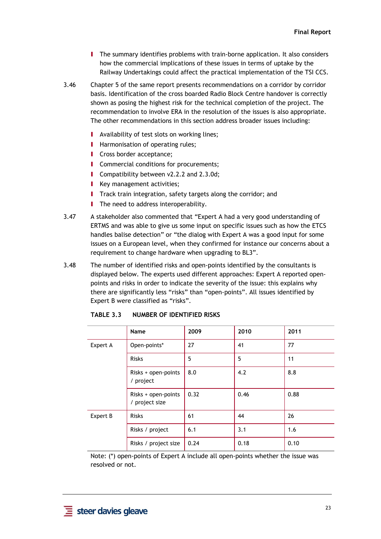- I The summary identifies problems with train-borne application. It also considers how the commercial implications of these issues in terms of uptake by the Railway Undertakings could affect the practical implementation of the TSI CCS.
- 3.46 Chapter 5 of the same report presents recommendations on a corridor by corridor basis. Identification of the cross boarded Radio Block Centre handover is correctly shown as posing the highest risk for the technical completion of the project. The recommendation to involve ERA in the resolution of the issues is also appropriate. The other recommendations in this section address broader issues including:
	- **I** Availability of test slots on working lines;
	- **I** Harmonisation of operating rules;
	- **I** Cross border acceptance:
	- **I** Commercial conditions for procurements;
	- **I** Compatibility between v2.2.2 and 2.3.0d;
	- **I** Key management activities;
	- **I** Track train integration, safety targets along the corridor; and
	- **I** The need to address interoperability.
- <span id="page-32-1"></span>3.47 A stakeholder also commented that "Expert A had a very good understanding of ERTMS and was able to give us some input on specific issues such as how the ETCS handles balise detection" or "the dialog with Expert A was a good input for some issues on a European level, when they confirmed for instance our concerns about a requirement to change hardware when upgrading to BL3".
- <span id="page-32-0"></span>3.48 The number of identified risks and open-points identified by the consultants is displayed below. The experts used different approaches: Expert A reported openpoints and risks in order to indicate the severity of the issue: this explains why there are significantly less "risks" than "open-points". All issues identified by Expert B were classified as "risks".

| 2009<br>2011<br>2010<br>Name<br>27<br>77<br>Expert A<br>Open-points*<br>41<br>5<br>5<br>11<br><b>Risks</b><br>8.8<br>8.0<br>4.2<br>Risks + open-points<br>/ project<br>0.32<br>0.88<br>0.46<br>Risks + open-points<br>/ project size<br>26<br>Expert B<br><b>Risks</b><br>61<br>44<br>6.1<br>3.1<br>Risks / project<br>1.6<br>0.24<br>0.18<br>0.10<br>Risks / project size |  |  |  |  |  |  |
|----------------------------------------------------------------------------------------------------------------------------------------------------------------------------------------------------------------------------------------------------------------------------------------------------------------------------------------------------------------------------|--|--|--|--|--|--|
|                                                                                                                                                                                                                                                                                                                                                                            |  |  |  |  |  |  |
|                                                                                                                                                                                                                                                                                                                                                                            |  |  |  |  |  |  |
|                                                                                                                                                                                                                                                                                                                                                                            |  |  |  |  |  |  |
|                                                                                                                                                                                                                                                                                                                                                                            |  |  |  |  |  |  |
|                                                                                                                                                                                                                                                                                                                                                                            |  |  |  |  |  |  |
|                                                                                                                                                                                                                                                                                                                                                                            |  |  |  |  |  |  |
|                                                                                                                                                                                                                                                                                                                                                                            |  |  |  |  |  |  |
|                                                                                                                                                                                                                                                                                                                                                                            |  |  |  |  |  |  |

**TABLE 3.3 NUMBER OF IDENTIFIED RISKS** 

Note: (\*) open-points of Expert A include all open-points whether the issue was resolved or not.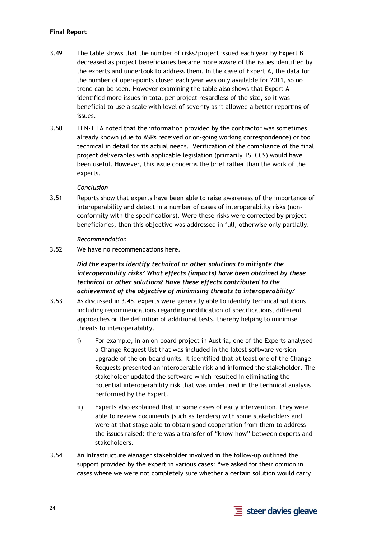### **Final Report**

- 3.49 The table shows that the number of risks/project issued each year by Expert B decreased as project beneficiaries became more aware of the issues identified by the experts and undertook to address them. In the case of Expert A, the data for the number of open-points closed each year was only available for 2011, so no trend can be seen. However examining the table also shows that Expert A identified more issues in total per project regardless of the size, so it was beneficial to use a scale with level of severity as it allowed a better reporting of issues.
- 3.50 TEN-T EA noted that the information provided by the contractor was sometimes already known (due to ASRs received or on-going working correspondence) or too technical in detail for its actual needs. Verification of the compliance of the final project deliverables with applicable legislation (primarily TSI CCS) would have been useful. However, this issue concerns the brief rather than the work of the experts.

#### *Conclusion*

3.51 Reports show that experts have been able to raise awareness of the importance of interoperability and detect in a number of cases of interoperability risks (nonconformity with the specifications). Were these risks were corrected by project beneficiaries, then this objective was addressed in full, otherwise only partially.

#### *Recommendation*

3.52 We have no recommendations here.

## *Did the experts identify technical or other solutions to mitigate the interoperability risks? What effects (impacts) have been obtained by these technical or other solutions? Have these effects contributed to the achievement of the objective of minimising threats to interoperability?*

- 3.53 As discussed i[n 3.45,](#page-31-0) experts were generally able to identify technical solutions including recommendations regarding modification of specifications, different approaches or the definition of additional tests, thereby helping to minimise threats to interoperability.
	- i) For example, in an on-board project in Austria, one of the Experts analysed a Change Request list that was included in the latest software version upgrade of the on-board units. It identified that at least one of the Change Requests presented an interoperable risk and informed the stakeholder. The stakeholder updated the software which resulted in eliminating the potential interoperability risk that was underlined in the technical analysis performed by the Expert.
	- ii) Experts also explained that in some cases of early intervention, they were able to review documents (such as tenders) with some stakeholders and were at that stage able to obtain good cooperation from them to address the issues raised: there was a transfer of "know-how" between experts and stakeholders.
- 3.54 An Infrastructure Manager stakeholder involved in the follow-up outlined the support provided by the expert in various cases: "we asked for their opinion in cases where we were not completely sure whether a certain solution would carry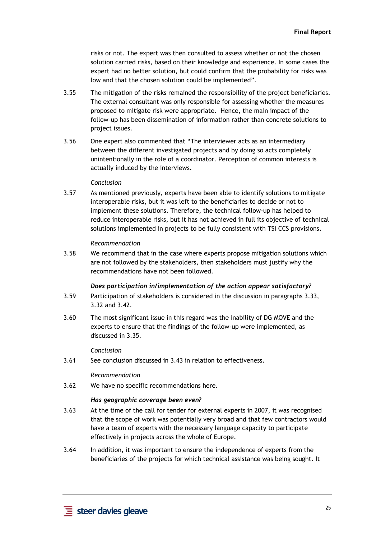risks or not. The expert was then consulted to assess whether or not the chosen solution carried risks, based on their knowledge and experience. In some cases the expert had no better solution, but could confirm that the probability for risks was low and that the chosen solution could be implemented".

- 3.55 The mitigation of the risks remained the responsibility of the project beneficiaries. The external consultant was only responsible for assessing whether the measures proposed to mitigate risk were appropriate. Hence, the main impact of the follow-up has been dissemination of information rather than concrete solutions to project issues.
- 3.56 One expert also commented that "The interviewer acts as an intermediary between the different investigated projects and by doing so acts completely unintentionally in the role of a coordinator. Perception of common interests is actually induced by the interviews.

#### *Conclusion*

3.57 As mentioned previously, experts have been able to identify solutions to mitigate interoperable risks, but it was left to the beneficiaries to decide or not to implement these solutions. Therefore, the technical follow-up has helped to reduce interoperable risks, but it has not achieved in full its objective of technical solutions implemented in projects to be fully consistent with TSI CCS provisions.

#### *Recommendation*

3.58 We recommend that in the case where experts propose mitigation solutions which are not followed by the stakeholders, then stakeholders must justify why the recommendations have not been followed.

#### *Does participation in/implementation of the action appear satisfactory?*

- 3.59 Participation of stakeholders is considered in the discussion in paragraph[s 3.33,](#page-29-1) [3.32](#page-29-2) an[d 3.42.](#page-30-2)
- 3.60 The most significant issue in this regard was the inability of DG MOVE and the experts to ensure that the findings of the follow-up were implemented, as discussed i[n 3.35.](#page-30-3)

#### *Conclusion*

3.61 See conclusion discussed i[n 3.43 i](#page-31-1)n relation to effectiveness.

#### *Recommendation*

3.62 We have no specific recommendations here.

#### *Has geographic coverage been even?*

- 3.63 At the time of the call for tender for external experts in 2007, it was recognised that the scope of work was potentially very broad and that few contractors would have a team of experts with the necessary language capacity to participate effectively in projects across the whole of Europe.
- 3.64 In addition, it was important to ensure the independence of experts from the beneficiaries of the projects for which technical assistance was being sought. It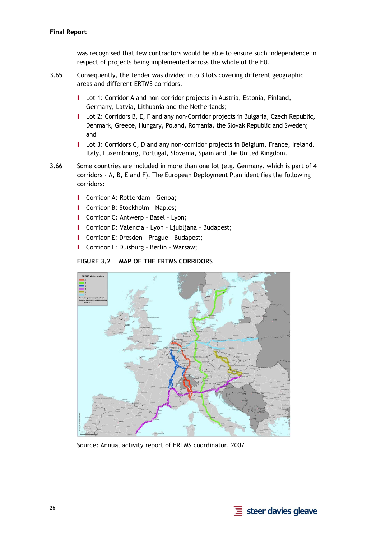### **Final Report**

was recognised that few contractors would be able to ensure such independence in respect of projects being implemented across the whole of the EU.

- 3.65 Consequently, the tender was divided into 3 lots covering different geographic areas and different ERTMS corridors.
	- **I** Lot 1: Corridor A and non-corridor projects in Austria, Estonia, Finland, Germany, Latvia, Lithuania and the Netherlands;
	- I Lot 2: Corridors B, E, F and any non-Corridor projects in Bulgaria, Czech Republic, Denmark, Greece, Hungary, Poland, Romania, the Slovak Republic and Sweden; and
	- I Lot 3: Corridors C, D and any non-corridor projects in Belgium, France, Ireland, Italy, Luxembourg, Portugal, Slovenia, Spain and the United Kingdom.
- 3.66 Some countries are included in more than one lot (e.g. Germany, which is part of 4 corridors - A, B, E and F). The European Deployment Plan identifies the following corridors:
	- I Corridor A: Rotterdam Genoa;
	- I Corridor B: Stockholm Naples;
	- I Corridor C: Antwerp Basel Lyon;
	- I Corridor D: Valencia Lyon Ljubljana Budapest;
	- I Corridor E: Dresden Prague Budapest;
	- I Corridor F: Duisburg Berlin Warsaw;

#### **FIGURE 3.2 MAP OF THE ERTMS CORRIDORS**

<span id="page-35-0"></span>

Source: Annual activity report of ERTMS coordinator, 2007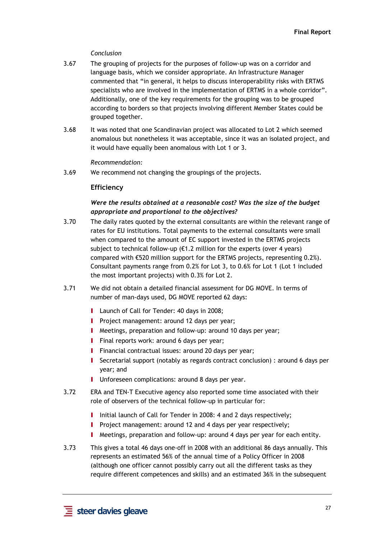### *Conclusion*

- 3.67 The grouping of projects for the purposes of follow-up was on a corridor and language basis, which we consider appropriate. An Infrastructure Manager commented that "in general, it helps to discuss interoperability risks with ERTMS specialists who are involved in the implementation of ERTMS in a whole corridor". Additionally, one of the key requirements for the grouping was to be grouped according to borders so that projects involving different Member States could be grouped together.
- 3.68 It was noted that one Scandinavian project was allocated to Lot 2 which seemed anomalous but nonetheless it was acceptable, since it was an isolated project, and it would have equally been anomalous with Lot 1 or 3.

#### *Recommendation:*

3.69 We recommend not changing the groupings of the projects.

# **Efficiency**

# *Were the results obtained at a reasonable cost? Was the size of the budget appropriate and proportional to the objectives?*

- 3.70 The daily rates quoted by the external consultants are within the relevant range of rates for EU institutions. Total payments to the external consultants were small when compared to the amount of EC support invested in the ERTMS projects subject to technical follow-up ( $\epsilon$ 1.2 million for the experts (over 4 years) compared with €520 million support for the ERTMS projects, representing 0.2%). Consultant payments range from 0.2% for Lot 3, to 0.6% for Lot 1 (Lot 1 included the most important projects) with 0.3% for Lot 2.
- 3.71 We did not obtain a detailed financial assessment for DG MOVE. In terms of number of man-days used, DG MOVE reported 62 days:
	- **I** Launch of Call for Tender: 40 days in 2008;
	- **I** Project management: around 12 days per year;
	- I Meetings, preparation and follow-up: around 10 days per year;
	- **I** Final reports work: around 6 days per year;
	- **I** Financial contractual issues: around 20 days per year;
	- I Secretarial support (notably as regards contract conclusion) : around 6 days per year; and
	- **I** Unforeseen complications: around 8 days per year.
- 3.72 ERA and TEN-T Executive agency also reported some time associated with their role of observers of the technical follow-up in particular for:
	- I Initial launch of Call for Tender in 2008: 4 and 2 days respectively:
	- **I** Project management: around 12 and 4 days per year respectively;
	- I Meetings, preparation and follow-up: around 4 days per year for each entity.
- 3.73 This gives a total 46 days one-off in 2008 with an additional 86 days annually. This represents an estimated 56% of the annual time of a Policy Officer in 2008 (although one officer cannot possibly carry out all the different tasks as they require different competences and skills) and an estimated 36% in the subsequent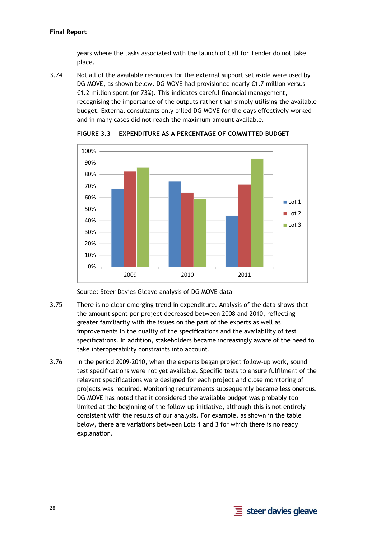# **Final Report**

years where the tasks associated with the launch of Call for Tender do not take place.

3.74 Not all of the available resources for the external support set aside were used by DG MOVE, as shown below. DG MOVE had provisioned nearly €1.7 million versus €1.2 million spent (or 73%). This indicates careful financial management, recognising the importance of the outputs rather than simply utilising the available budget. External consultants only billed DG MOVE for the days effectively worked and in many cases did not reach the maximum amount available.



**FIGURE 3.3 EXPENDITURE AS A PERCENTAGE OF COMMITTED BUDGET** 

Source: Steer Davies Gleave analysis of DG MOVE data

- 3.75 There is no clear emerging trend in expenditure. Analysis of the data shows that the amount spent per project decreased between 2008 and 2010, reflecting greater familiarity with the issues on the part of the experts as well as improvements in the quality of the specifications and the availability of test specifications. In addition, stakeholders became increasingly aware of the need to take interoperability constraints into account.
- 3.76 In the period 2009-2010, when the experts began project follow-up work, sound test specifications were not yet available. Specific tests to ensure fulfilment of the relevant specifications were designed for each project and close monitoring of projects was required. Monitoring requirements subsequently became less onerous. DG MOVE has noted that it considered the available budget was probably too limited at the beginning of the follow-up initiative, although this is not entirely consistent with the results of our analysis. For example, as shown in the table below, there are variations between Lots 1 and 3 for which there is no ready explanation.

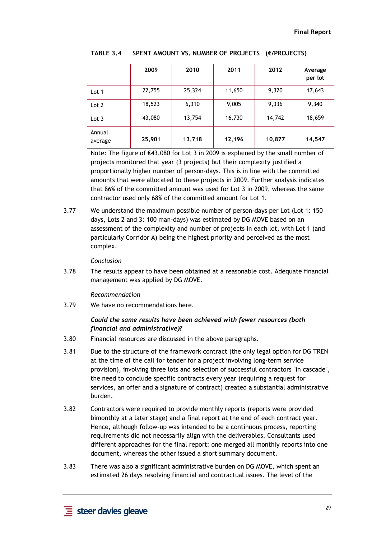|                   | 2009   | 2010   | 2011   | 2012   | Average<br>per lot |
|-------------------|--------|--------|--------|--------|--------------------|
| Lot 1             | 22,755 | 25,324 | 11,650 | 9,320  | 17,643             |
| Lot 2             | 18,523 | 6,310  | 9,005  | 9,336  | 9,340              |
| Lot $3$           | 43,080 | 13,754 | 16,730 | 14,742 | 18,659             |
| Annual<br>average | 25,901 | 13,718 | 12,196 | 10,877 | 14,547             |

**TABLE 3.4 SPENT AMOUNT VS. NUMBER OF PROJECTS (€/PROJECTS)** 

Note: The figure of €43,080 for Lot 3 in 2009 is explained by the small number of projects monitored that year (3 projects) but their complexity justified a proportionally higher number of person-days. This is in line with the committed amounts that were allocated to these projects in 2009. Further analysis indicates that 86% of the committed amount was used for Lot 3 in 2009, whereas the same contractor used only 68% of the committed amount for Lot 1.

3.77 We understand the maximum possible number of person-days per Lot (Lot 1: 150 days, Lots 2 and 3: 100 man-days) was estimated by DG MOVE based on an assessment of the complexity and number of projects in each lot, with Lot 1 (and particularly Corridor A) being the highest priority and perceived as the most complex.

#### *Conclusion*

3.78 The results appear to have been obtained at a reasonable cost. Adequate financial management was applied by DG MOVE.

#### *Recommendation*

3.79 We have no recommendations here.

#### *Could the same results have been achieved with fewer resources (both financial and administrative)?*

- 3.80 Financial resources are discussed in the above paragraphs.
- 3.81 Due to the structure of the framework contract (the only legal option for DG TREN at the time of the call for tender for a project involving long-term service provision), involving three lots and selection of successful contractors "in cascade", the need to conclude specific contracts every year (requiring a request for services, an offer and a signature of contract) created a substantial administrative burden.
- 3.82 Contractors were required to provide monthly reports (reports were provided bimonthly at a later stage) and a final report at the end of each contract year. Hence, although follow-up was intended to be a continuous process, reporting requirements did not necessarily align with the deliverables. Consultants used different approaches for the final report: one merged all monthly reports into one document, whereas the other issued a short summary document.
- 3.83 There was also a significant administrative burden on DG MOVE, which spent an estimated 26 days resolving financial and contractual issues. The level of the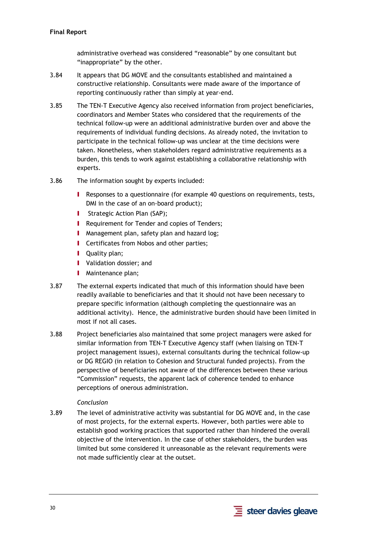administrative overhead was considered "reasonable" by one consultant but "inappropriate" by the other.

- 3.84 It appears that DG MOVE and the consultants established and maintained a constructive relationship. Consultants were made aware of the importance of reporting continuously rather than simply at year-end.
- 3.85 The TEN-T Executive Agency also received information from project beneficiaries, coordinators and Member States who considered that the requirements of the technical follow-up were an additional administrative burden over and above the requirements of individual funding decisions. As already noted, the invitation to participate in the technical follow-up was unclear at the time decisions were taken. Nonetheless, when stakeholders regard administrative requirements as a burden, this tends to work against establishing a collaborative relationship with experts.
- 3.86 The information sought by experts included:
	- **I** Responses to a questionnaire (for example 40 questions on requirements, tests, DMI in the case of an on-board product);
	- **I** Strategic Action Plan (SAP);
	- **I** Requirement for Tender and copies of Tenders;
	- **I** Management plan, safety plan and hazard log;
	- **I** Certificates from Nobos and other parties;
	- **I** Ouality plan:
	- **I** Validation dossier; and
	- **I** Maintenance plan;
- 3.87 The external experts indicated that much of this information should have been readily available to beneficiaries and that it should not have been necessary to prepare specific information (although completing the questionnaire was an additional activity). Hence, the administrative burden should have been limited in most if not all cases.
- 3.88 Project beneficiaries also maintained that some project managers were asked for similar information from TEN-T Executive Agency staff (when liaising on TEN-T project management issues), external consultants during the technical follow-up or DG REGIO (in relation to Cohesion and Structural funded projects). From the perspective of beneficiaries not aware of the differences between these various "Commission" requests, the apparent lack of coherence tended to enhance perceptions of onerous administration.

## *Conclusion*

3.89 The level of administrative activity was substantial for DG MOVE and, in the case of most projects, for the external experts. However, both parties were able to establish good working practices that supported rather than hindered the overall objective of the intervention. In the case of other stakeholders, the burden was limited but some considered it unreasonable as the relevant requirements were not made sufficiently clear at the outset.

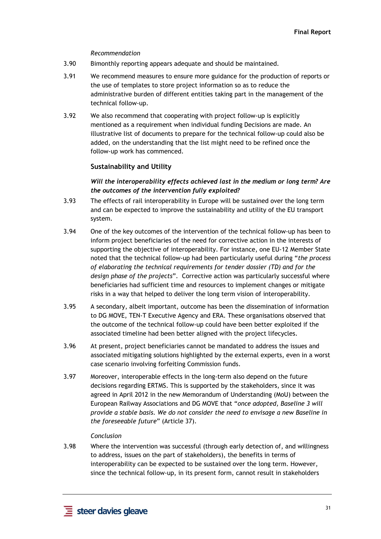#### *Recommendation*

- 3.90 Bimonthly reporting appears adequate and should be maintained.
- 3.91 We recommend measures to ensure more guidance for the production of reports or the use of templates to store project information so as to reduce the administrative burden of different entities taking part in the management of the technical follow-up.
- 3.92 We also recommend that cooperating with project follow-up is explicitly mentioned as a requirement when individual funding Decisions are made. An illustrative list of documents to prepare for the technical follow-up could also be added, on the understanding that the list might need to be refined once the follow-up work has commenced.

#### **Sustainability and Utility**

## *Will the interoperability effects achieved last in the medium or long term? Are the outcomes of the intervention fully exploited?*

- 3.93 The effects of rail interoperability in Europe will be sustained over the long term and can be expected to improve the sustainability and utility of the EU transport system.
- 3.94 One of the key outcomes of the intervention of the technical follow-up has been to inform project beneficiaries of the need for corrective action in the interests of supporting the objective of interoperability. For instance, one EU-12 Member State noted that the technical follow-up had been particularly useful during "*the process of elaborating the technical requirements for tender dossier (TD) and for the design phase of the projects*". Corrective action was particularly successful where beneficiaries had sufficient time and resources to implement changes or mitigate risks in a way that helped to deliver the long term vision of interoperability.
- 3.95 A secondary, albeit important, outcome has been the dissemination of information to DG MOVE, TEN-T Executive Agency and ERA. These organisations observed that the outcome of the technical follow-up could have been better exploited if the associated timeline had been better aligned with the project lifecycles.
- 3.96 At present, project beneficiaries cannot be mandated to address the issues and associated mitigating solutions highlighted by the external experts, even in a worst case scenario involving forfeiting Commission funds.
- 3.97 Moreover, interoperable effects in the long-term also depend on the future decisions regarding ERTMS. This is supported by the stakeholders, since it was agreed in April 2012 in the new Memorandum of Understanding (MoU) between the European Railway Associations and DG MOVE that "*once adopted, Baseline 3 will provide a stable basis. We do not consider the need to envisage a new Baseline in the foreseeable future*" (Article 37).

#### *Conclusion*

3.98 Where the intervention was successful (through early detection of, and willingness to address, issues on the part of stakeholders), the benefits in terms of interoperability can be expected to be sustained over the long term. However, since the technical follow-up, in its present form, cannot result in stakeholders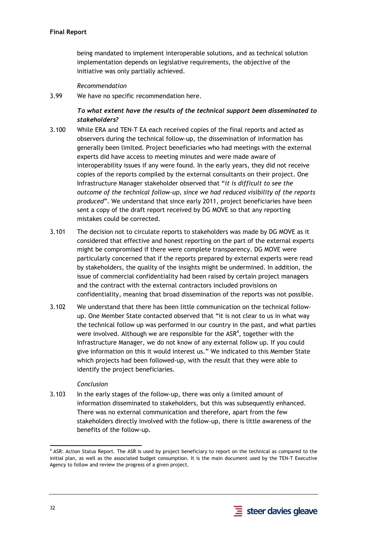being mandated to implement interoperable solutions, and as technical solution implementation depends on legislative requirements, the objective of the initiative was only partially achieved.

## *Recommendation*

3.99 We have no specific recommendation here.

# *To what extent have the results of the technical support been disseminated to stakeholders?*

- 3.100 While ERA and TEN-T EA each received copies of the final reports and acted as observers during the technical follow-up, the dissemination of information has generally been limited. Project beneficiaries who had meetings with the external experts did have access to meeting minutes and were made aware of interoperability issues if any were found. In the early years, they did not receive copies of the reports compiled by the external consultants on their project. One Infrastructure Manager stakeholder observed that "*it is difficult to see the outcome of the technical follow-up, since we had reduced visibility of the reports produced*". We understand that since early 2011, project beneficiaries have been sent a copy of the draft report received by DG MOVE so that any reporting mistakes could be corrected.
- 3.101 The decision not to circulate reports to stakeholders was made by DG MOVE as it considered that effective and honest reporting on the part of the external experts might be compromised if there were complete transparency. DG MOVE were particularly concerned that if the reports prepared by external experts were read by stakeholders, the quality of the insights might be undermined. In addition, the issue of commercial confidentiality had been raised by certain project managers and the contract with the external contractors included provisions on confidentiality, meaning that broad dissemination of the reports was not possible.
- 3.102 We understand that there has been little communication on the technical followup. One Member State contacted observed that "it is not clear to us in what way the technical follow up was performed in our country in the past, and what parties were involved. Although we are responsible for the ASR<sup>4</sup>, together with the Infrastructure Manager, we do not know of any external follow up. If you could give information on this it would interest us." We indicated to this Member State which projects had been followed-up, with the result that they were able to identify the project beneficiaries.

#### *Conclusion*

3.103 In the early stages of the follow-up, there was only a limited amount of information disseminated to stakeholders, but this was subsequently enhanced. There was no external communication and therefore, apart from the few stakeholders directly involved with the follow-up, there is little awareness of the benefits of the follow-up.



<sup>-</sup>4 ASR: Action Status Report. The ASR is used by project beneficiary to report on the technical as compared to the initial plan, as well as the associated budget consumption. It is the main document used by the TEN-T Executive Agency to follow and review the progress of a given project.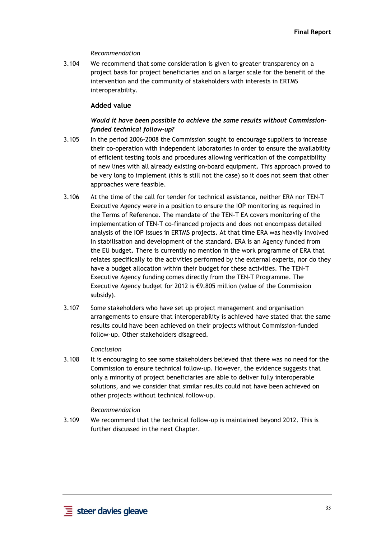## *Recommendation*

3.104 We recommend that some consideration is given to greater transparency on a project basis for project beneficiaries and on a larger scale for the benefit of the intervention and the community of stakeholders with interests in ERTMS interoperability.

# **Added value**

# *Would it have been possible to achieve the same results without Commissionfunded technical follow-up?*

- 3.105 In the period 2006-2008 the Commission sought to encourage suppliers to increase their co-operation with independent laboratories in order to ensure the availability of efficient testing tools and procedures allowing verification of the compatibility of new lines with all already existing on-board equipment. This approach proved to be very long to implement (this is still not the case) so it does not seem that other approaches were feasible.
- 3.106 At the time of the call for tender for technical assistance, neither ERA nor TEN-T Executive Agency were in a position to ensure the IOP monitoring as required in the Terms of Reference. The mandate of the TEN-T EA covers monitoring of the implementation of TEN-T co-financed projects and does not encompass detailed analysis of the IOP issues in ERTMS projects. At that time ERA was heavily involved in stabilisation and development of the standard. ERA is an Agency funded from the EU budget. There is currently no mention in the work programme of ERA that relates specifically to the activities performed by the external experts, nor do they have a budget allocation within their budget for these activities. The TEN-T Executive Agency funding comes directly from the TEN-T Programme. The Executive Agency budget for 2012 is €9.805 million (value of the Commission subsidy).
- 3.107 Some stakeholders who have set up project management and organisation arrangements to ensure that interoperability is achieved have stated that the same results could have been achieved on their projects without Commission-funded follow-up. Other stakeholders disagreed.

#### *Conclusion*

3.108 It is encouraging to see some stakeholders believed that there was no need for the Commission to ensure technical follow-up. However, the evidence suggests that only a minority of project beneficiaries are able to deliver fully interoperable solutions, and we consider that similar results could not have been achieved on other projects without technical follow-up.

#### *Recommendation*

3.109 We recommend that the technical follow-up is maintained beyond 2012. This is further discussed in the next Chapter.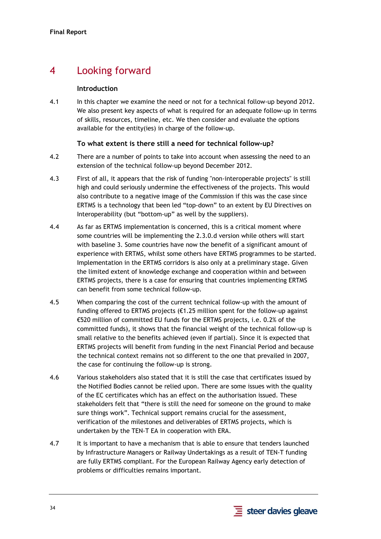# 4 Looking forward

## **Introduction**

4.1 In this chapter we examine the need or not for a technical follow-up beyond 2012. We also present key aspects of what is required for an adequate follow-up in terms of skills, resources, timeline, etc. We then consider and evaluate the options available for the entity(ies) in charge of the follow-up.

# **To what extent is there still a need for technical follow-up?**

- 4.2 There are a number of points to take into account when assessing the need to an extension of the technical follow-up beyond December 2012.
- 4.3 First of all, it appears that the risk of funding "non-interoperable projects" is still high and could seriously undermine the effectiveness of the projects. This would also contribute to a negative image of the Commission if this was the case since ERTMS is a technology that been led "top-down" to an extent by EU Directives on Interoperability (but "bottom-up" as well by the suppliers).
- 4.4 As far as ERTMS implementation is concerned, this is a critical moment where some countries will be implementing the 2.3.0.d version while others will start with baseline 3. Some countries have now the benefit of a significant amount of experience with ERTMS, whilst some others have ERTMS programmes to be started. Implementation in the ERTMS corridors is also only at a preliminary stage. Given the limited extent of knowledge exchange and cooperation within and between ERTMS projects, there is a case for ensuring that countries implementing ERTMS can benefit from some technical follow-up.
- 4.5 When comparing the cost of the current technical follow-up with the amount of funding offered to ERTMS projects (€1.25 million spent for the follow-up against €520 million of committed EU funds for the ERTMS projects, i.e. 0.2% of the committed funds), it shows that the financial weight of the technical follow-up is small relative to the benefits achieved (even if partial). Since it is expected that ERTMS projects will benefit from funding in the next Financial Period and because the technical context remains not so different to the one that prevailed in 2007, the case for continuing the follow-up is strong.
- 4.6 Various stakeholders also stated that it is still the case that certificates issued by the Notified Bodies cannot be relied upon. There are some issues with the quality of the EC certificates which has an effect on the authorisation issued. These stakeholders felt that "there is still the need for someone on the ground to make sure things work". Technical support remains crucial for the assessment, verification of the milestones and deliverables of ERTMS projects, which is undertaken by the TEN-T EA in cooperation with ERA.
- 4.7 It is important to have a mechanism that is able to ensure that tenders launched by Infrastructure Managers or Railway Undertakings as a result of TEN-T funding are fully ERTMS compliant. For the European Railway Agency early detection of problems or difficulties remains important.

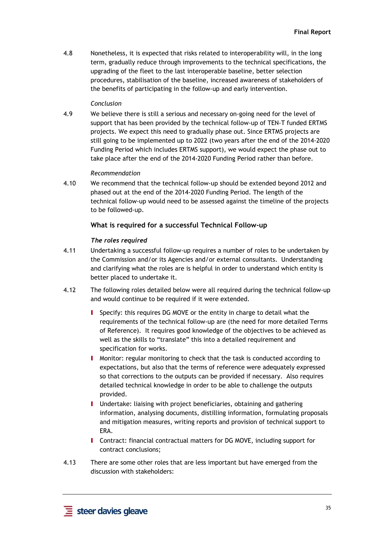4.8 Nonetheless, it is expected that risks related to interoperability will, in the long term, gradually reduce through improvements to the technical specifications, the upgrading of the fleet to the last interoperable baseline, better selection procedures, stabilisation of the baseline, increased awareness of stakeholders of the benefits of participating in the follow-up and early intervention.

#### *Conclusion*

4.9 We believe there is still a serious and necessary on-going need for the level of support that has been provided by the technical follow-up of TEN-T funded ERTMS projects. We expect this need to gradually phase out. Since ERTMS projects are still going to be implemented up to 2022 (two years after the end of the 2014-2020 Funding Period which includes ERTMS support), we would expect the phase out to take place after the end of the 2014-2020 Funding Period rather than before.

#### *Recommendation*

4.10 We recommend that the technical follow-up should be extended beyond 2012 and phased out at the end of the 2014-2020 Funding Period. The length of the technical follow-up would need to be assessed against the timeline of the projects to be followed-up.

#### **What is required for a successful Technical Follow-up**

#### *The roles required*

- 4.11 Undertaking a successful follow-up requires a number of roles to be undertaken by the Commission and/or its Agencies and/or external consultants. Understanding and clarifying what the roles are is helpful in order to understand which entity is better placed to undertake it.
- 4.12 The following roles detailed below were all required during the technical follow-up and would continue to be required if it were extended.
	- I Specify: this requires DG MOVE or the entity in charge to detail what the requirements of the technical follow-up are (the need for more detailed Terms of Reference). It requires good knowledge of the objectives to be achieved as well as the skills to "translate" this into a detailed requirement and specification for works.
	- I Monitor: regular monitoring to check that the task is conducted according to expectations, but also that the terms of reference were adequately expressed so that corrections to the outputs can be provided if necessary. Also requires detailed technical knowledge in order to be able to challenge the outputs provided.
	- I Undertake: liaising with project beneficiaries, obtaining and gathering information, analysing documents, distilling information, formulating proposals and mitigation measures, writing reports and provision of technical support to ERA.
	- I Contract: financial contractual matters for DG MOVE, including support for contract conclusions;
- 4.13 There are some other roles that are less important but have emerged from the discussion with stakeholders: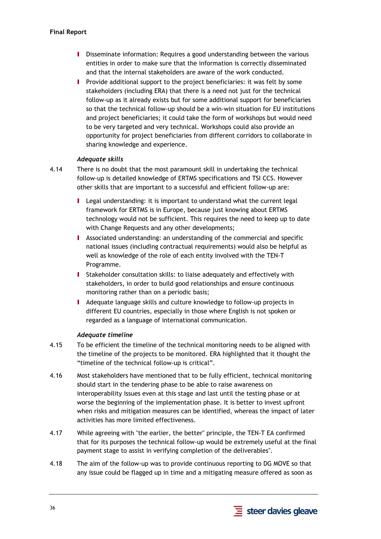- **I** Disseminate information: Requires a good understanding between the various entities in order to make sure that the information is correctly disseminated and that the internal stakeholders are aware of the work conducted.
- I Provide additional support to the project beneficiaries: it was felt by some stakeholders (including ERA) that there is a need not just for the technical follow-up as it already exists but for some additional support for beneficiaries so that the technical follow-up should be a win-win situation for EU institutions and project beneficiaries; it could take the form of workshops but would need to be very targeted and very technical. Workshops could also provide an opportunity for project beneficiaries from different corridors to collaborate in sharing knowledge and experience.

## *Adequate skills*

- 4.14 There is no doubt that the most paramount skill in undertaking the technical follow-up is detailed knowledge of ERTMS specifications and TSI CCS. However other skills that are important to a successful and efficient follow-up are:
	- I Legal understanding: it is important to understand what the current legal framework for ERTMS is in Europe, because just knowing about ERTMS technology would not be sufficient. This requires the need to keep up to date with Change Requests and any other developments;
	- I Associated understanding: an understanding of the commercial and specific national issues (including contractual requirements) would also be helpful as well as knowledge of the role of each entity involved with the TEN-T Programme.
	- I Stakeholder consultation skills: to liaise adequately and effectively with stakeholders, in order to build good relationships and ensure continuous monitoring rather than on a periodic basis;
	- I Adequate language skills and culture knowledge to follow-up projects in different EU countries, especially in those where English is not spoken or regarded as a language of international communication.

#### *Adequate timeline*

- 4.15 To be efficient the timeline of the technical monitoring needs to be aligned with the timeline of the projects to be monitored. ERA highlighted that it thought the "timeline of the technical follow-up is critical".
- 4.16 Most stakeholders have mentioned that to be fully efficient, technical monitoring should start in the tendering phase to be able to raise awareness on interoperability issues even at this stage and last until the testing phase or at worse the beginning of the implementation phase. It is better to invest upfront when risks and mitigation measures can be identified, whereas the impact of later activities has more limited effectiveness.
- 4.17 While agreeing with "the earlier, the better" principle, the TEN-T EA confirmed that for its purposes the technical follow-up would be extremely useful at the final payment stage to assist in verifying completion of the deliverables".
- 4.18 The aim of the follow-up was to provide continuous reporting to DG MOVE so that any issue could be flagged up in time and a mitigating measure offered as soon as

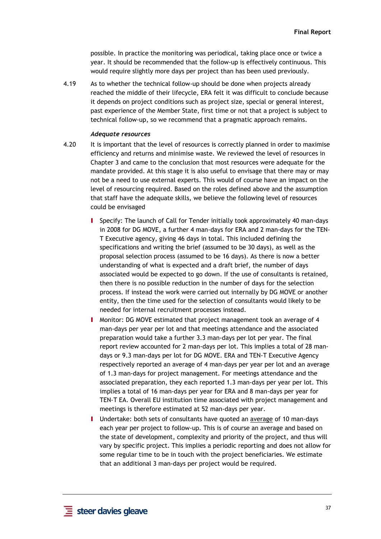possible. In practice the monitoring was periodical, taking place once or twice a year. It should be recommended that the follow-up is effectively continuous. This would require slightly more days per project than has been used previously.

4.19 As to whether the technical follow-up should be done when projects already reached the middle of their lifecycle, ERA felt it was difficult to conclude because it depends on project conditions such as project size, special or general interest, past experience of the Member State, first time or not that a project is subject to technical follow-up, so we recommend that a pragmatic approach remains.

#### *Adequate resources*

- 4.20 It is important that the level of resources is correctly planned in order to maximise efficiency and returns and minimise waste. We reviewed the level of resources in Chapter 3 and came to the conclusion that most resources were adequate for the mandate provided. At this stage it is also useful to envisage that there may or may not be a need to use external experts. This would of course have an impact on the level of resourcing required. Based on the roles defined above and the assumption that staff have the adequate skills, we believe the following level of resources could be envisaged
	- I Specify: The launch of Call for Tender initially took approximately 40 man-days in 2008 for DG MOVE, a further 4 man-days for ERA and 2 man-days for the TEN-T Executive agency, giving 46 days in total. This included defining the specifications and writing the brief (assumed to be 30 days), as well as the proposal selection process (assumed to be 16 days). As there is now a better understanding of what is expected and a draft brief, the number of days associated would be expected to go down. If the use of consultants is retained, then there is no possible reduction in the number of days for the selection process. If instead the work were carried out internally by DG MOVE or another entity, then the time used for the selection of consultants would likely to be needed for internal recruitment processes instead.
	- I Monitor: DG MOVE estimated that project management took an average of 4 man-days per year per lot and that meetings attendance and the associated preparation would take a further 3.3 man-days per lot per year. The final report review accounted for 2 man-days per lot. This implies a total of 28 mandays or 9.3 man-days per lot for DG MOVE. ERA and TEN-T Executive Agency respectively reported an average of 4 man-days per year per lot and an average of 1.3 man-days for project management. For meetings attendance and the associated preparation, they each reported 1.3 man-days per year per lot. This implies a total of 16 man-days per year for ERA and 8 man-days per year for TEN-T EA. Overall EU institution time associated with project management and meetings is therefore estimated at 52 man-days per year.
	- Undertake: both sets of consultants have quoted an average of 10 man-days each year per project to follow-up. This is of course an average and based on the state of development, complexity and priority of the project, and thus will vary by specific project. This implies a periodic reporting and does not allow for some regular time to be in touch with the project beneficiaries. We estimate that an additional 3 man-days per project would be required.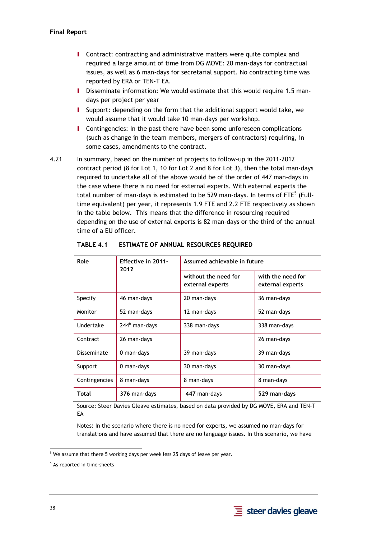- **I** Contract: contracting and administrative matters were quite complex and required a large amount of time from DG MOVE: 20 man-days for contractual issues, as well as 6 man-days for secretarial support. No contracting time was reported by ERA or TEN-T EA.
- I Disseminate information: We would estimate that this would require 1.5 mandays per project per year
- I Support: depending on the form that the additional support would take, we would assume that it would take 10 man-days per workshop.
- **I** Contingencies: In the past there have been some unforeseen complications (such as change in the team members, mergers of contractors) requiring, in some cases, amendments to the contract.
- 4.21 In summary, based on the number of projects to follow-up in the 2011-2012 contract period (8 for Lot 1, 10 for Lot 2 and 8 for Lot 3), then the total man-days required to undertake all of the above would be of the order of 447 man-days in the case where there is no need for external experts. With external experts the total number of man-days is estimated to be 529 man-days. In terms of FTE $^5$  (Fulltime equivalent) per year, it represents 1.9 FTE and 2.2 FTE respectively as shown in the table below. This means that the difference in resourcing required depending on the use of external experts is 82 man-days or the third of the annual time of a EU officer.

| Role          | Effective in 2011-<br>2012 | Assumed achievable in future             |                                       |  |
|---------------|----------------------------|------------------------------------------|---------------------------------------|--|
|               |                            | without the need for<br>external experts | with the need for<br>external experts |  |
| Specify       | 46 man-days                | 20 man-days                              | 36 man-days                           |  |
| Monitor       | 52 man-days                | 12 man-days                              | 52 man-days                           |  |
| Undertake     | 244 <sup>6</sup> man-days  | 338 man-days                             | 338 man-days                          |  |
| Contract      | 26 man-days                |                                          | 26 man-days                           |  |
| Disseminate   | 0 man-days                 | 39 man-days                              | 39 man-days                           |  |
| Support       | 0 man-days                 | 30 man-days                              | 30 man-days                           |  |
| Contingencies | 8 man-days                 | 8 man-days                               | 8 man-days                            |  |
| Total         | 376 man-days               | 447 man-days                             | 529 man-days                          |  |

**TABLE 4.1 ESTIMATE OF ANNUAL RESOURCES REQUIRED** 

Source: Steer Davies Gleave estimates, based on data provided by DG MOVE, ERA and TEN-T EA

Notes: In the scenario where there is no need for experts, we assumed no man-days for translations and have assumed that there are no language issues. In this scenario, we have



<sup>-</sup> $<sup>5</sup>$  We assume that there 5 working days per week less 25 days of leave per year.</sup>

<sup>&</sup>lt;sup>6</sup> As reported in time-sheets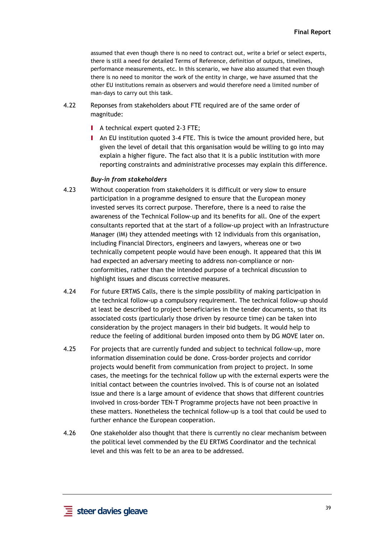assumed that even though there is no need to contract out, write a brief or select experts, there is still a need for detailed Terms of Reference, definition of outputs, timelines, performance measurements, etc. In this scenario, we have also assumed that even though there is no need to monitor the work of the entity in charge, we have assumed that the other EU institutions remain as observers and would therefore need a limited number of man-days to carry out this task.

- 4.22 Reponses from stakeholders about FTE required are of the same order of magnitude:
	- **I** A technical expert quoted 2-3 FTE;
	- I An EU institution quoted 3-4 FTE. This is twice the amount provided here, but given the level of detail that this organisation would be willing to go into may explain a higher figure. The fact also that it is a public institution with more reporting constraints and administrative processes may explain this difference.

#### *Buy-in from stakeholders*

- 4.23 Without cooperation from stakeholders it is difficult or very slow to ensure participation in a programme designed to ensure that the European money invested serves its correct purpose. Therefore, there is a need to raise the awareness of the Technical Follow-up and its benefits for all. One of the expert consultants reported that at the start of a follow-up project with an Infrastructure Manager (IM) they attended meetings with 12 individuals from this organisation, including Financial Directors, engineers and lawyers, whereas one or two technically competent people would have been enough. It appeared that this IM had expected an adversary meeting to address non-compliance or nonconformities, rather than the intended purpose of a technical discussion to highlight issues and discuss corrective measures.
- 4.24 For future ERTMS Calls, there is the simple possibility of making participation in the technical follow-up a compulsory requirement. The technical follow-up should at least be described to project beneficiaries in the tender documents, so that its associated costs (particularly those driven by resource time) can be taken into consideration by the project managers in their bid budgets. It would help to reduce the feeling of additional burden imposed onto them by DG MOVE later on.
- 4.25 For projects that are currently funded and subject to technical follow-up, more information dissemination could be done. Cross-border projects and corridor projects would benefit from communication from project to project. In some cases, the meetings for the technical follow up with the external experts were the initial contact between the countries involved. This is of course not an isolated issue and there is a large amount of evidence that shows that different countries involved in cross-border TEN-T Programme projects have not been proactive in these matters. Nonetheless the technical follow-up is a tool that could be used to further enhance the European cooperation.
- 4.26 One stakeholder also thought that there is currently no clear mechanism between the political level commended by the EU ERTMS Coordinator and the technical level and this was felt to be an area to be addressed.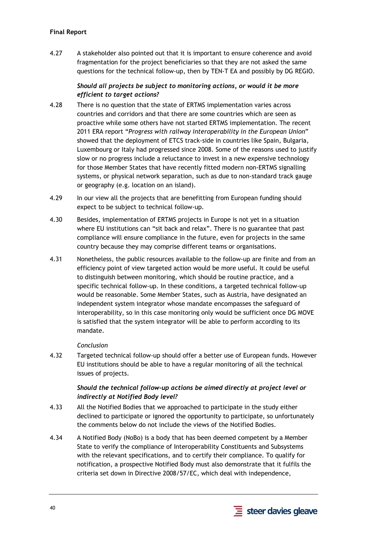# **Final Report**

4.27 A stakeholder also pointed out that it is important to ensure coherence and avoid fragmentation for the project beneficiaries so that they are not asked the same questions for the technical follow-up, then by TEN-T EA and possibly by DG REGIO.

# *Should all projects be subject to monitoring actions, or would it be more efficient to target actions?*

- 4.28 There is no question that the state of ERTMS implementation varies across countries and corridors and that there are some countries which are seen as proactive while some others have not started ERTMS implementation. The recent 2011 ERA report "*Progress with railway interoperability in the European Union*" showed that the deployment of ETCS track-side in countries like Spain, Bulgaria, Luxembourg or Italy had progressed since 2008. Some of the reasons used to justify slow or no progress include a reluctance to invest in a new expensive technology for those Member States that have recently fitted modern non-ERTMS signalling systems, or physical network separation, such as due to non-standard track gauge or geography (e.g. location on an island).
- 4.29 In our view all the projects that are benefitting from European funding should expect to be subject to technical follow-up.
- 4.30 Besides, implementation of ERTMS projects in Europe is not yet in a situation where EU institutions can "sit back and relax". There is no guarantee that past compliance will ensure compliance in the future, even for projects in the same country because they may comprise different teams or organisations.
- 4.31 Nonetheless, the public resources available to the follow-up are finite and from an efficiency point of view targeted action would be more useful. It could be useful to distinguish between monitoring, which should be routine practice, and a specific technical follow-up. In these conditions, a targeted technical follow-up would be reasonable. Some Member States, such as Austria, have designated an independent system integrator whose mandate encompasses the safeguard of interoperability, so in this case monitoring only would be sufficient once DG MOVE is satisfied that the system integrator will be able to perform according to its mandate.

# *Conclusion*

4.32 Targeted technical follow-up should offer a better use of European funds. However EU institutions should be able to have a regular monitoring of all the technical issues of projects.

# *Should the technical follow-up actions be aimed directly at project level or indirectly at Notified Body level?*

- 4.33 All the Notified Bodies that we approached to participate in the study either declined to participate or ignored the opportunity to participate, so unfortunately the comments below do not include the views of the Notified Bodies.
- 4.34 A Notified Body (NoBo) is a body that has been deemed competent by a Member State to verify the compliance of Interoperability Constituents and Subsystems with the relevant specifications, and to certify their compliance. To qualify for notification, a prospective Notified Body must also demonstrate that it fulfils the criteria set down in Directive 2008/57/EC, which deal with independence,

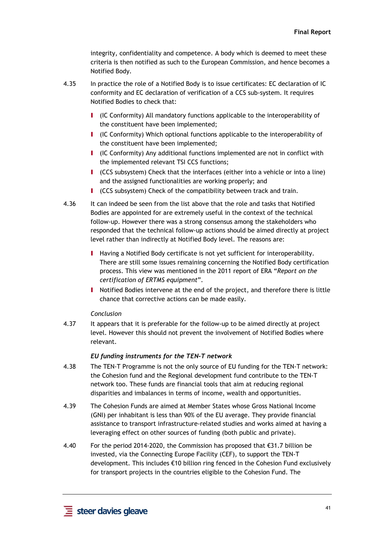integrity, confidentiality and competence. A body which is deemed to meet these criteria is then notified as such to the European Commission, and hence becomes a Notified Body.

- 4.35 In practice the role of a Notified Body is to issue certificates: EC declaration of IC conformity and EC declaration of verification of a CCS sub-system. It requires Notified Bodies to check that:
	- I (IC Conformity) All mandatory functions applicable to the interoperability of the constituent have been implemented;
	- I (IC Conformity) Which optional functions applicable to the interoperability of the constituent have been implemented;
	- I (IC Conformity) Any additional functions implemented are not in conflict with the implemented relevant TSI CCS functions;
	- I (CCS subsystem) Check that the interfaces (either into a vehicle or into a line) and the assigned functionalities are working properly; and
	- I (CCS subsystem) Check of the compatibility between track and train.
- 4.36 It can indeed be seen from the list above that the role and tasks that Notified Bodies are appointed for are extremely useful in the context of the technical follow-up. However there was a strong consensus among the stakeholders who responded that the technical follow-up actions should be aimed directly at project level rather than indirectly at Notified Body level. The reasons are:
	- I Having a Notified Body certificate is not yet sufficient for interoperability. There are still some issues remaining concerning the Notified Body certification process. This view was mentioned in the 2011 report of ERA "*Report on the certification of ERTMS equipment*".
	- I Notified Bodies intervene at the end of the project, and therefore there is little chance that corrective actions can be made easily.

#### *Conclusion*

4.37 It appears that it is preferable for the follow-up to be aimed directly at project level. However this should not prevent the involvement of Notified Bodies where relevant.

#### *EU funding instruments for the TEN-T network*

- 4.38 The TEN-T Programme is not the only source of EU funding for the TEN-T network: the Cohesion fund and the Regional development fund contribute to the TEN-T network too. These funds are financial tools that aim at reducing regional disparities and imbalances in terms of income, wealth and opportunities.
- 4.39 The Cohesion Funds are aimed at Member States whose Gross National Income (GNI) per inhabitant is less than 90% of the EU average. They provide financial assistance to transport infrastructure-related studies and works aimed at having a leveraging effect on other sources of funding (both public and private).
- 4.40 For the period 2014-2020, the Commission has proposed that €31.7 billion be invested, via the Connecting Europe Facility (CEF), to support the TEN-T development. This includes €10 billion ring fenced in the Cohesion Fund exclusively for transport projects in the countries eligible to the Cohesion Fund. The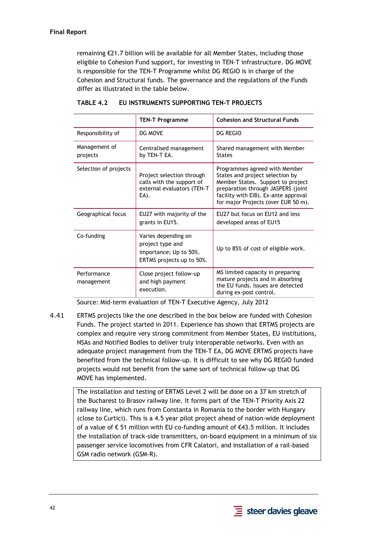remaining €21.7 billion will be available for all Member States, including those eligible to Cohesion Fund support, for investing in TEN-T infrastructure. DG MOVE is responsible for the TEN-T Programme whilst DG REGIO is in charge of the Cohesion and Structural funds. The governance and the regulations of the Funds differ as illustrated in the table below.

|                           | <b>TEN-T Programme</b>                                                                         | <b>Cohesion and Structural Funds</b>                                                                                                                                                                                       |
|---------------------------|------------------------------------------------------------------------------------------------|----------------------------------------------------------------------------------------------------------------------------------------------------------------------------------------------------------------------------|
| Responsibility of         | DG MOVE                                                                                        | <b>DG REGIO</b>                                                                                                                                                                                                            |
| Management of<br>projects | Centralised management<br>by TEN-T EA.                                                         | Shared management with Member<br><b>States</b>                                                                                                                                                                             |
| Selection of projects     | Project selection through<br>calls with the support of<br>external evaluators (TEN-T<br>EA).   | Programmes agreed with Member<br>States and project selection by<br>Member States. Support to project<br>preparation through JASPERS (joint<br>facility with EIB). Ex-ante approval<br>for major Projects (over EUR 50 m). |
| Geographical focus        | EU27 with majority of the<br>grants in EU15.                                                   | EU27 but focus on EU12 and less<br>developed areas of EU15                                                                                                                                                                 |
| Co-funding                | Varies depending on<br>project type and<br>importance; Up to 50%.<br>ERTMS projects up to 50%. | Up to 85% of cost of eligible work.                                                                                                                                                                                        |
| Performance<br>management | Close project follow-up<br>and high payment<br>execution.                                      | MS limited capacity in preparing<br>mature projects and in absorbing<br>the EU funds. Issues are detected<br>during ex-post control.                                                                                       |

## **TABLE 4.2 EU INSTRUMENTS SUPPORTING TEN-T PROJECTS**

Source: Mid-term evaluation of TEN-T Executive Agency, July 2012

4.41 ERTMS projects like the one described in the box below are funded with Cohesion Funds. The project started in 2011. Experience has shown that ERTMS projects are complex and require very strong commitment from Member States, EU institutions, NSAs and Notified Bodies to deliver truly interoperable networks. Even with an adequate project management from the TEN-T EA, DG MOVE ERTMS projects have benefited from the technical follow-up. It is difficult to see why DG REGIO funded projects would not benefit from the same sort of technical follow-up that DG MOVE has implemented.

The installation and testing of ERTMS Level 2 will be done on a 37 km stretch of the Bucharest to Brasov railway line. It forms part of the TEN-T Priority Axis 22 railway line, which runs from Constanta in Romania to the border with Hungary (close to Curtici). This is a 4.5 year pilot project ahead of nation-wide deployment of a value of € 51 million with EU co-funding amount of €43.5 million. It includes the installation of track-side transmitters, on-board equipment in a minimum of six passenger service locomotives from CFR Calatori, and installation of a rail-based GSM radio network (GSM-R).

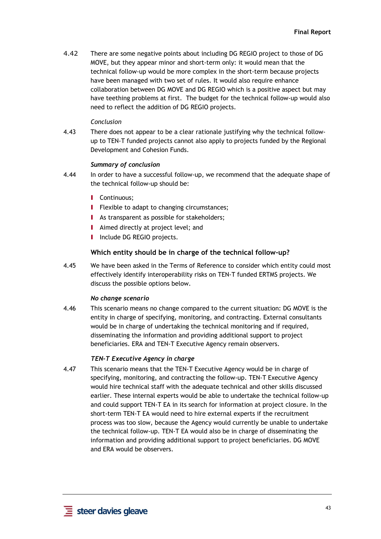4.42 There are some negative points about including DG REGIO project to those of DG MOVE, but they appear minor and short-term only: it would mean that the technical follow-up would be more complex in the short-term because projects have been managed with two set of rules. It would also require enhance collaboration between DG MOVE and DG REGIO which is a positive aspect but may have teething problems at first. The budget for the technical follow-up would also need to reflect the addition of DG REGIO projects.

## *Conclusion*

4.43 There does not appear to be a clear rationale justifying why the technical followup to TEN-T funded projects cannot also apply to projects funded by the Regional Development and Cohesion Funds.

## *Summary of conclusion*

- 4.44 In order to have a successful follow-up, we recommend that the adequate shape of the technical follow-up should be:
	- **I** Continuous:
	- **I** Flexible to adapt to changing circumstances;
	- **I** As transparent as possible for stakeholders;
	- **I** Aimed directly at project level; and
	- **I** Include DG REGIO projects.

## **Which entity should be in charge of the technical follow-up?**

4.45 We have been asked in the Terms of Reference to consider which entity could most effectively identify interoperability risks on TEN-T funded ERTMS projects. We discuss the possible options below.

#### *No change scenario*

4.46 This scenario means no change compared to the current situation: DG MOVE is the entity in charge of specifying, monitoring, and contracting. External consultants would be in charge of undertaking the technical monitoring and if required, disseminating the information and providing additional support to project beneficiaries. ERA and TEN-T Executive Agency remain observers.

#### *TEN-T Executive Agency in charge*

4.47 This scenario means that the TEN-T Executive Agency would be in charge of specifying, monitoring, and contracting the follow-up. TEN-T Executive Agency would hire technical staff with the adequate technical and other skills discussed earlier. These internal experts would be able to undertake the technical follow-up and could support TEN-T EA in its search for information at project closure. In the short-term TEN-T EA would need to hire external experts if the recruitment process was too slow, because the Agency would currently be unable to undertake the technical follow-up. TEN-T EA would also be in charge of disseminating the information and providing additional support to project beneficiaries. DG MOVE and ERA would be observers.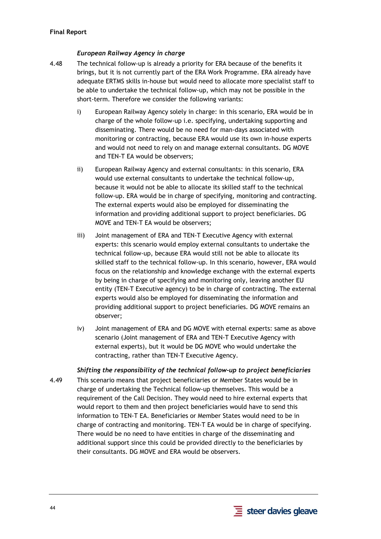## *European Railway Agency in charge*

- 4.48 The technical follow-up is already a priority for ERA because of the benefits it brings, but it is not currently part of the ERA Work Programme. ERA already have adequate ERTMS skills in-house but would need to allocate more specialist staff to be able to undertake the technical follow-up, which may not be possible in the short-term. Therefore we consider the following variants:
	- i) European Railway Agency solely in charge: in this scenario, ERA would be in charge of the whole follow-up i.e. specifying, undertaking supporting and disseminating. There would be no need for man-days associated with monitoring or contracting, because ERA would use its own in-house experts and would not need to rely on and manage external consultants. DG MOVE and TEN-T EA would be observers;
	- ii) European Railway Agency and external consultants: in this scenario, ERA would use external consultants to undertake the technical follow-up, because it would not be able to allocate its skilled staff to the technical follow-up. ERA would be in charge of specifying, monitoring and contracting. The external experts would also be employed for disseminating the information and providing additional support to project beneficiaries. DG MOVE and TEN-T EA would be observers;
	- iii) Joint management of ERA and TEN-T Executive Agency with external experts: this scenario would employ external consultants to undertake the technical follow-up, because ERA would still not be able to allocate its skilled staff to the technical follow-up. In this scenario, however, ERA would focus on the relationship and knowledge exchange with the external experts by being in charge of specifying and monitoring only, leaving another EU entity (TEN-T Executive agency) to be in charge of contracting. The external experts would also be employed for disseminating the information and providing additional support to project beneficiaries. DG MOVE remains an observer;
	- iv) Joint management of ERA and DG MOVE with eternal experts: same as above scenario (Joint management of ERA and TEN-T Executive Agency with external experts), but it would be DG MOVE who would undertake the contracting, rather than TEN-T Executive Agency.

#### *Shifting the responsibility of the technical follow-up to project beneficiaries*

4.49 This scenario means that project beneficiaries or Member States would be in charge of undertaking the Technical follow-up themselves. This would be a requirement of the Call Decision. They would need to hire external experts that would report to them and then project beneficiaries would have to send this information to TEN-T EA. Beneficiaries or Member States would need to be in charge of contracting and monitoring. TEN-T EA would be in charge of specifying. There would be no need to have entities in charge of the disseminating and additional support since this could be provided directly to the beneficiaries by their consultants. DG MOVE and ERA would be observers.

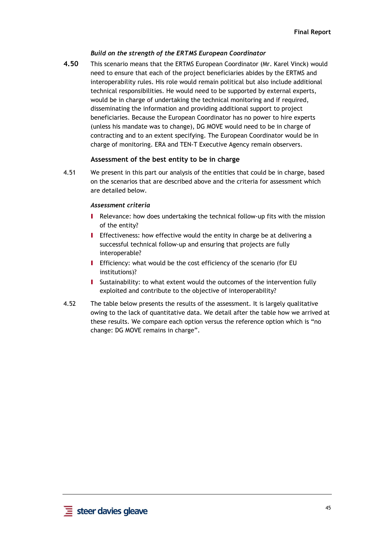# *Build on the strength of the ERTMS European Coordinator*

**4.50** This scenario means that the ERTMS European Coordinator (Mr. Karel Vinck) would need to ensure that each of the project beneficiaries abides by the ERTMS and interoperability rules. His role would remain political but also include additional technical responsibilities. He would need to be supported by external experts, would be in charge of undertaking the technical monitoring and if required, disseminating the information and providing additional support to project beneficiaries. Because the European Coordinator has no power to hire experts (unless his mandate was to change), DG MOVE would need to be in charge of contracting and to an extent specifying. The European Coordinator would be in charge of monitoring. ERA and TEN-T Executive Agency remain observers.

# **Assessment of the best entity to be in charge**

4.51 We present in this part our analysis of the entities that could be in charge, based on the scenarios that are described above and the criteria for assessment which are detailed below.

## *Assessment criteria*

- I Relevance: how does undertaking the technical follow-up fits with the mission of the entity?
- I Effectiveness: how effective would the entity in charge be at delivering a successful technical follow-up and ensuring that projects are fully interoperable?
- I Efficiency: what would be the cost efficiency of the scenario (for EU institutions)?
- I Sustainability: to what extent would the outcomes of the intervention fully exploited and contribute to the objective of interoperability?
- 4.52 The table below presents the results of the assessment. It is largely qualitative owing to the lack of quantitative data. We detail after the table how we arrived at these results. We compare each option versus the reference option which is "no change: DG MOVE remains in charge".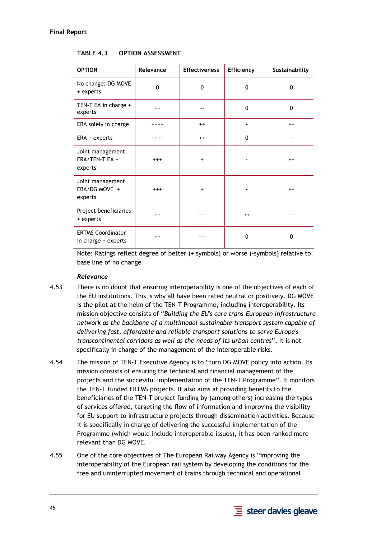| <b>OPTION</b>                                   | Relevance | <b>Effectiveness</b> | Efficiency   | Sustainability |
|-------------------------------------------------|-----------|----------------------|--------------|----------------|
| No change: DG MOVE<br>+ experts                 | 0         | 0                    | 0            | $\mathbf 0$    |
| TEN-T EA in charge +<br>experts                 | $^{++}$   |                      | 0            | $\mathbf{0}$   |
| ERA solely in charge                            | $++++$    | $++$                 | $\ddot{}$    | $++$           |
| ERA + experts                                   | $++++$    | $++$                 | $\mathbf{0}$ | $++$           |
| Joint management<br>ERA/TEN-T EA +<br>experts   | $+++$     | $\ddot{}$            |              | $++$           |
| Joint management<br>ERA/DG MOVE +<br>experts    | $+++$     | $\ddot{}$            |              | $++$           |
| Project beneficiaries<br>+ experts              | $^{++}$   |                      | $++$         |                |
| <b>ERTMS Coordinator</b><br>in charge + experts | $^{++}$   |                      | 0            | 0              |

### **TABLE 4.3 OPTION ASSESSMENT**

Note: Ratings reflect degree of better (+ symbols) or worse (-symbols) relative to base line of no change

#### *Relevance*

- 4.53 There is no doubt that ensuring interoperability is one of the objectives of each of the EU institutions. This is why all have been rated neutral or positively. DG MOVE is the pilot at the helm of the TEN-T Programme, including interoperability. Its mission objective consists of "*Building the EU's core trans-European infrastructure network as the backbone of a multimodal sustainable transport system capable of delivering fast, affordable and reliable transport solutions to serve Europe's transcontinental corridors as well as the needs of its urban centres*". It is not specifically in charge of the management of the interoperable risks.
- 4.54 The mission of TEN-T Executive Agency is to "turn DG MOVE policy into action. Its mission consists of ensuring the technical and financial management of the projects and the successful implementation of the TEN-T Programme". It monitors the TEN-T funded ERTMS projects. It also aims at providing benefits to the beneficiaries of the TEN-T project funding by (among others) increasing the types of services offered, targeting the flow of information and improving the visibility for EU support to infrastructure projects through dissemination activities. Because it is specifically in charge of delivering the successful implementation of the Programme (which would include interoperable issues), it has been ranked more relevant than DG MOVE.
- 4.55 One of the core objectives of The European Railway Agency is "improving the interoperability of the European rail system by developing the conditions for the free and uninterrupted movement of trains through technical and operational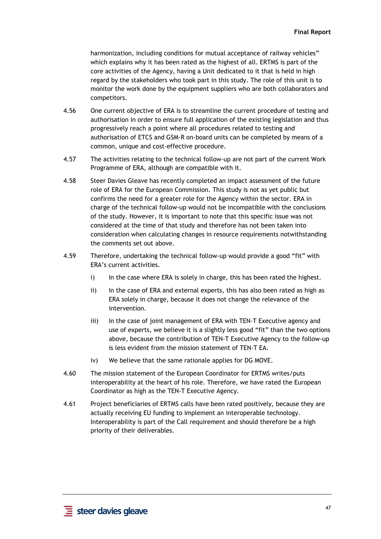harmonization, including conditions for mutual acceptance of railway vehicles" which explains why it has been rated as the highest of all. ERTMS is part of the core activities of the Agency, having a Unit dedicated to it that is held in high regard by the stakeholders who took part in this study. The role of this unit is to monitor the work done by the equipment suppliers who are both collaborators and competitors.

- 4.56 One current objective of ERA is to streamline the current procedure of testing and authorisation in order to ensure full application of the existing legislation and thus progressively reach a point where all procedures related to testing and authorisation of ETCS and GSM-R on-board units can be completed by means of a common, unique and cost-effective procedure.
- 4.57 The activities relating to the technical follow-up are not part of the current Work Programme of ERA, although are compatible with it.
- 4.58 Steer Davies Gleave has recently completed an impact assessment of the future role of ERA for the European Commission. This study is not as yet public but confirms the need for a greater role for the Agency within the sector. ERA in charge of the technical follow-up would not be incompatible with the conclusions of the study. However, it is important to note that this specific issue was not considered at the time of that study and therefore has not been taken into consideration when calculating changes in resource requirements notwithstanding the comments set out above.
- 4.59 Therefore, undertaking the technical follow-up would provide a good "fit" with ERA's current activities.
	- i) In the case where ERA is solely in charge, this has been rated the highest.
	- ii) In the case of ERA and external experts, this has also been rated as high as ERA solely in charge, because it does not change the relevance of the intervention.
	- iii) In the case of joint management of ERA with TEN-T Executive agency and use of experts, we believe it is a slightly less good "fit" than the two options above, because the contribution of TEN-T Executive Agency to the follow-up is less evident from the mission statement of TEN-T EA.
	- iv) We believe that the same rationale applies for DG MOVE.
- 4.60 The mission statement of the European Coordinator for ERTMS writes/puts interoperability at the heart of his role. Therefore, we have rated the European Coordinator as high as the TEN-T Executive Agency.
- 4.61 Project beneficiaries of ERTMS calls have been rated positively, because they are actually receiving EU funding to implement an interoperable technology. Interoperability is part of the Call requirement and should therefore be a high priority of their deliverables.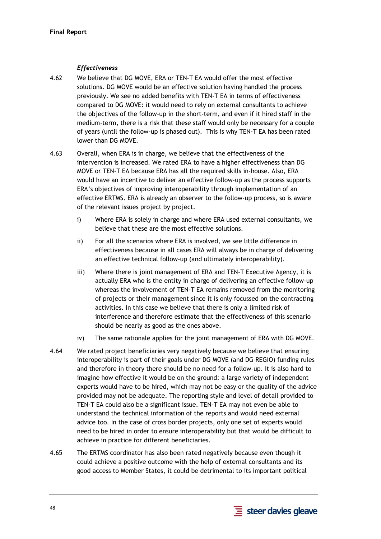# *Effectiveness*

- 4.62 We believe that DG MOVE, ERA or TEN-T EA would offer the most effective solutions. DG MOVE would be an effective solution having handled the process previously. We see no added benefits with TEN-T EA in terms of effectiveness compared to DG MOVE: it would need to rely on external consultants to achieve the objectives of the follow-up in the short-term, and even if it hired staff in the medium-term, there is a risk that these staff would only be necessary for a couple of years (until the follow-up is phased out). This is why TEN-T EA has been rated lower than DG MOVE.
- 4.63 Overall, when ERA is in charge, we believe that the effectiveness of the intervention is increased. We rated ERA to have a higher effectiveness than DG MOVE or TEN-T EA because ERA has all the required skills in-house. Also, ERA would have an incentive to deliver an effective follow-up as the process supports ERA's objectives of improving interoperability through implementation of an effective ERTMS. ERA is already an observer to the follow-up process, so is aware of the relevant issues project by project.
	- i) Where ERA is solely in charge and where ERA used external consultants, we believe that these are the most effective solutions.
	- ii) For all the scenarios where ERA is involved, we see little difference in effectiveness because in all cases ERA will always be in charge of delivering an effective technical follow-up (and ultimately interoperability).
	- iii) Where there is joint management of ERA and TEN-T Executive Agency, it is actually ERA who is the entity in charge of delivering an effective follow-up whereas the involvement of TEN-T EA remains removed from the monitoring of projects or their management since it is only focussed on the contracting activities. In this case we believe that there is only a limited risk of interference and therefore estimate that the effectiveness of this scenario should be nearly as good as the ones above.
	- iv) The same rationale applies for the joint management of ERA with DG MOVE.
- 4.64 We rated project beneficiaries very negatively because we believe that ensuring interoperability is part of their goals under DG MOVE (and DG REGIO) funding rules and therefore in theory there should be no need for a follow-up. It is also hard to imagine how effective it would be on the ground: a large variety of independent experts would have to be hired, which may not be easy or the quality of the advice provided may not be adequate. The reporting style and level of detail provided to TEN-T EA could also be a significant issue. TEN-T EA may not even be able to understand the technical information of the reports and would need external advice too. In the case of cross border projects, only one set of experts would need to be hired in order to ensure interoperability but that would be difficult to achieve in practice for different beneficiaries.
- 4.65 The ERTMS coordinator has also been rated negatively because even though it could achieve a positive outcome with the help of external consultants and its good access to Member States, it could be detrimental to its important political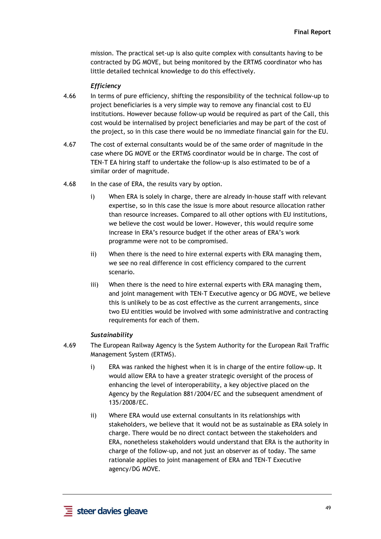mission. The practical set-up is also quite complex with consultants having to be contracted by DG MOVE, but being monitored by the ERTMS coordinator who has little detailed technical knowledge to do this effectively.

#### *Efficiency*

- 4.66 In terms of pure efficiency, shifting the responsibility of the technical follow-up to project beneficiaries is a very simple way to remove any financial cost to EU institutions. However because follow-up would be required as part of the Call, this cost would be internalised by project beneficiaries and may be part of the cost of the project, so in this case there would be no immediate financial gain for the EU.
- 4.67 The cost of external consultants would be of the same order of magnitude in the case where DG MOVE or the ERTMS coordinator would be in charge. The cost of TEN-T EA hiring staff to undertake the follow-up is also estimated to be of a similar order of magnitude.
- 4.68 In the case of ERA, the results vary by option.
	- i) When ERA is solely in charge, there are already in-house staff with relevant expertise, so in this case the issue is more about resource allocation rather than resource increases. Compared to all other options with EU institutions, we believe the cost would be lower. However, this would require some increase in ERA's resource budget if the other areas of ERA's work programme were not to be compromised.
	- ii) When there is the need to hire external experts with ERA managing them, we see no real difference in cost efficiency compared to the current scenario.
	- iii) When there is the need to hire external experts with ERA managing them, and joint management with TEN-T Executive agency or DG MOVE, we believe this is unlikely to be as cost effective as the current arrangements, since two EU entities would be involved with some administrative and contracting requirements for each of them.

#### *Sustainability*

- 4.69 The European Railway Agency is the System Authority for the European Rail Traffic Management System (ERTMS).
	- i) ERA was ranked the highest when it is in charge of the entire follow-up. It would allow ERA to have a greater strategic oversight of the process of enhancing the level of interoperability, a key objective placed on the Agency by the Regulation 881/2004/EC and the subsequent amendment of 135/2008/EC.
	- ii) Where ERA would use external consultants in its relationships with stakeholders, we believe that it would not be as sustainable as ERA solely in charge. There would be no direct contact between the stakeholders and ERA, nonetheless stakeholders would understand that ERA is the authority in charge of the follow-up, and not just an observer as of today. The same rationale applies to joint management of ERA and TEN-T Executive agency/DG MOVE.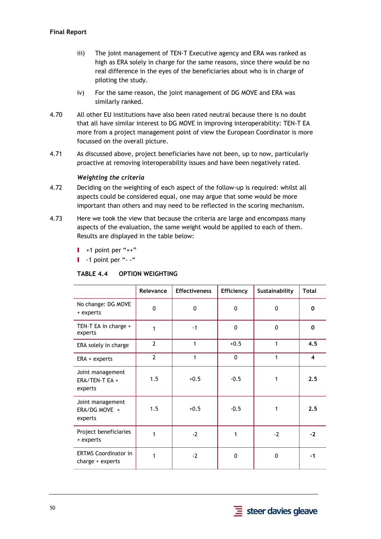- iii) The joint management of TEN-T Executive agency and ERA was ranked as high as ERA solely in charge for the same reasons, since there would be no real difference in the eyes of the beneficiaries about who is in charge of piloting the study.
- iv) For the same reason, the joint management of DG MOVE and ERA was similarly ranked.
- 4.70 All other EU institutions have also been rated neutral because there is no doubt that all have similar interest to DG MOVE in improving interoperability: TEN-T EA more from a project management point of view the European Coordinator is more focussed on the overall picture.
- 4.71 As discussed above, project beneficiaries have not been, up to now, particularly proactive at removing interoperability issues and have been negatively rated.

## *Weighting the criteria*

- 4.72 Deciding on the weighting of each aspect of the follow-up is required: whilst all aspects could be considered equal, one may argue that some would be more important than others and may need to be reflected in the scoring mechanism.
- 4.73 Here we took the view that because the criteria are large and encompass many aspects of the evaluation, the same weight would be applied to each of them. Results are displayed in the table below:
	- $\blacksquare$  +1 point per "++"

 $\blacksquare$  -1 point per "--"

#### **TABLE 4.4 OPTION WEIGHTING**

|                                                 | Relevance      | <b>Effectiveness</b> | Efficiency   | Sustainability | <b>Total</b>            |
|-------------------------------------------------|----------------|----------------------|--------------|----------------|-------------------------|
| No change: DG MOVE<br>+ experts                 | 0              | 0                    | 0            | $\mathbf{0}$   | 0                       |
| TEN-T EA in charge +<br>experts                 | 1              | $-1$                 | 0            | 0              | $\mathbf 0$             |
| ERA solely in charge                            | $\overline{2}$ | $\mathbf 1$          | $+0.5$       | 1              | 4.5                     |
| ERA + experts                                   | $\overline{2}$ | 1                    | $\mathbf{0}$ | 1              | $\overline{\mathbf{4}}$ |
| Joint management<br>ERA/TEN-T EA +<br>experts   | 1.5            | $+0.5$               | $-0.5$       | 1              | 2.5                     |
| Joint management<br>ERA/DG MOVE +<br>experts    | 1.5            | $+0.5$               | $-0.5$       | 1              | 2.5                     |
| Project beneficiaries<br>+ experts              | 1              | $-2$                 | 1            | $-2$           | $-2$                    |
| <b>ERTMS Coordinator in</b><br>charge + experts | 1              | $-2$                 | 0            | 0              | $-1$                    |

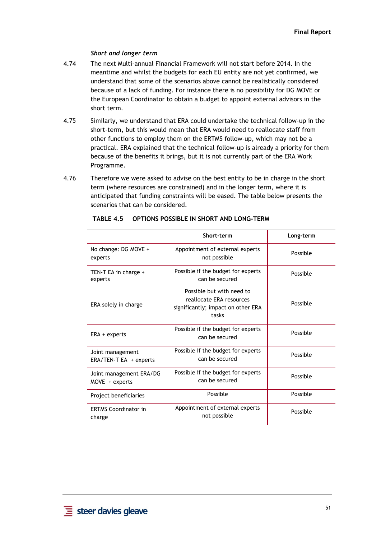## *Short and longer term*

- 4.74 The next Multi-annual Financial Framework will not start before 2014. In the meantime and whilst the budgets for each EU entity are not yet confirmed, we understand that some of the scenarios above cannot be realistically considered because of a lack of funding. For instance there is no possibility for DG MOVE or the European Coordinator to obtain a budget to appoint external advisors in the short term.
- 4.75 Similarly, we understand that ERA could undertake the technical follow-up in the short-term, but this would mean that ERA would need to reallocate staff from other functions to employ them on the ERTMS follow-up, which may not be a practical. ERA explained that the technical follow-up is already a priority for them because of the benefits it brings, but it is not currently part of the ERA Work Programme.
- 4.76 Therefore we were asked to advise on the best entity to be in charge in the short term (where resources are constrained) and in the longer term, where it is anticipated that funding constraints will be eased. The table below presents the scenarios that can be considered.

|                                             | Short-term                                                                                           | Long-term |
|---------------------------------------------|------------------------------------------------------------------------------------------------------|-----------|
| No change: DG MOVE +<br>experts             | Appointment of external experts<br>not possible                                                      | Possible  |
| TEN-T EA in charge +<br>experts             | Possible if the budget for experts<br>can be secured                                                 | Possible  |
| ERA solely in charge                        | Possible but with need to<br>reallocate ERA resources<br>significantly; impact on other ERA<br>tasks | Possible  |
| $ERA + experts$                             | Possible if the budget for experts<br>can be secured                                                 | Possible  |
| Joint management<br>ERA/TEN-T EA + experts  | Possible if the budget for experts<br>can be secured                                                 | Possible  |
| Joint management ERA/DG<br>$Move + experts$ | Possible if the budget for experts<br>can be secured                                                 | Possible  |
| Project beneficiaries                       | Possible                                                                                             | Possible  |
| <b>ERTMS Coordinator in</b><br>charge       | Appointment of external experts<br>not possible                                                      | Possible  |
|                                             |                                                                                                      |           |

#### **TABLE 4.5 OPTIONS POSSIBLE IN SHORT AND LONG-TERM**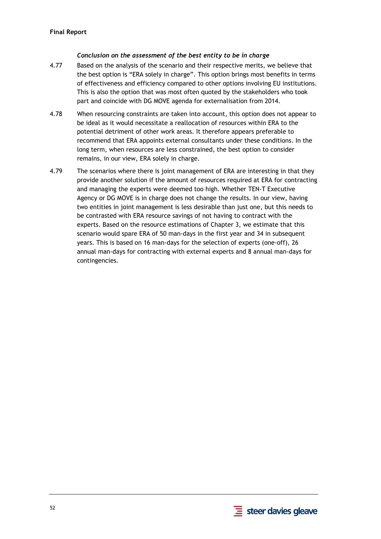## *Conclusion on the assessment of the best entity to be in charge*

- 4.77 Based on the analysis of the scenario and their respective merits, we believe that the best option is "ERA solely in charge". This option brings most benefits in terms of effectiveness and efficiency compared to other options involving EU institutions. This is also the option that was most often quoted by the stakeholders who took part and coincide with DG MOVE agenda for externalisation from 2014.
- 4.78 When resourcing constraints are taken into account, this option does not appear to be ideal as it would necessitate a reallocation of resources within ERA to the potential detriment of other work areas. It therefore appears preferable to recommend that ERA appoints external consultants under these conditions. In the long term, when resources are less constrained, the best option to consider remains, in our view, ERA solely in charge.
- 4.79 The scenarios where there is joint management of ERA are interesting in that they provide another solution if the amount of resources required at ERA for contracting and managing the experts were deemed too high. Whether TEN-T Executive Agency or DG MOVE is in charge does not change the results. In our view, having two entities in joint management is less desirable than just one, but this needs to be contrasted with ERA resource savings of not having to contract with the experts. Based on the resource estimations of Chapter 3, we estimate that this scenario would spare ERA of 50 man-days in the first year and 34 in subsequent years. This is based on 16 man-days for the selection of experts (one-off), 26 annual man-days for contracting with external experts and 8 annual man-days for contingencies.

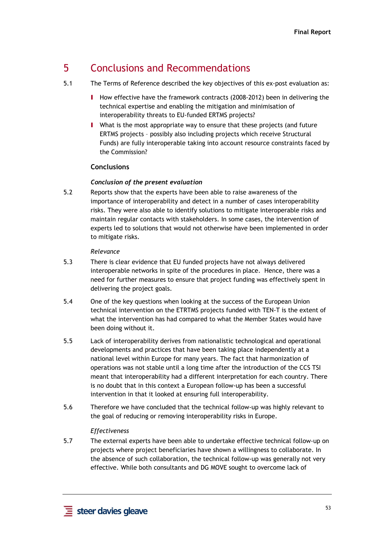# 5 Conclusions and Recommendations

- 5.1 The Terms of Reference described the key objectives of this ex-post evaluation as:
	- I How effective have the framework contracts (2008-2012) been in delivering the technical expertise and enabling the mitigation and minimisation of interoperability threats to EU-funded ERTMS projects?
	- I What is the most appropriate way to ensure that these projects (and future ERTMS projects – possibly also including projects which receive Structural Funds) are fully interoperable taking into account resource constraints faced by the Commission?

# **Conclusions**

# *Conclusion of the present evaluation*

5.2 Reports show that the experts have been able to raise awareness of the importance of interoperability and detect in a number of cases interoperability risks. They were also able to identify solutions to mitigate interoperable risks and maintain regular contacts with stakeholders. In some cases, the intervention of experts led to solutions that would not otherwise have been implemented in order to mitigate risks.

## *Relevance*

- 5.3 There is clear evidence that EU funded projects have not always delivered interoperable networks in spite of the procedures in place. Hence, there was a need for further measures to ensure that project funding was effectively spent in delivering the project goals.
- 5.4 One of the key questions when looking at the success of the European Union technical intervention on the ETRTMS projects funded with TEN-T is the extent of what the intervention has had compared to what the Member States would have been doing without it.
- 5.5 Lack of interoperability derives from nationalistic technological and operational developments and practices that have been taking place independently at a national level within Europe for many years. The fact that harmonization of operations was not stable until a long time after the introduction of the CCS TSI meant that interoperability had a different interpretation for each country. There is no doubt that in this context a European follow-up has been a successful intervention in that it looked at ensuring full interoperability.
- 5.6 Therefore we have concluded that the technical follow-up was highly relevant to the goal of reducing or removing interoperability risks in Europe.

# *Effectiveness*

5.7 The external experts have been able to undertake effective technical follow-up on projects where project beneficiaries have shown a willingness to collaborate. In the absence of such collaboration, the technical follow-up was generally not very effective. While both consultants and DG MOVE sought to overcome lack of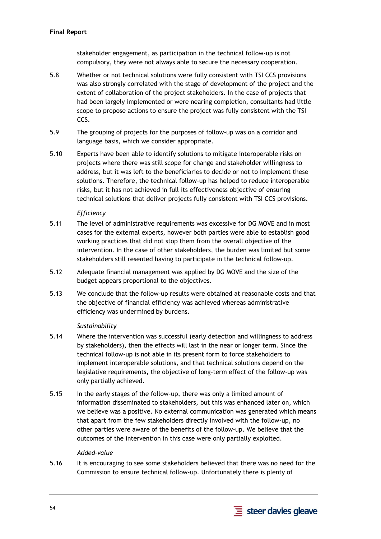stakeholder engagement, as participation in the technical follow-up is not compulsory, they were not always able to secure the necessary cooperation.

- 5.8 Whether or not technical solutions were fully consistent with TSI CCS provisions was also strongly correlated with the stage of development of the project and the extent of collaboration of the project stakeholders. In the case of projects that had been largely implemented or were nearing completion, consultants had little scope to propose actions to ensure the project was fully consistent with the TSI CCS.
- 5.9 The grouping of projects for the purposes of follow-up was on a corridor and language basis, which we consider appropriate.
- 5.10 Experts have been able to identify solutions to mitigate interoperable risks on projects where there was still scope for change and stakeholder willingness to address, but it was left to the beneficiaries to decide or not to implement these solutions. Therefore, the technical follow-up has helped to reduce interoperable risks, but it has not achieved in full its effectiveness objective of ensuring technical solutions that deliver projects fully consistent with TSI CCS provisions.

# *Efficiency*

- 5.11 The level of administrative requirements was excessive for DG MOVE and in most cases for the external experts, however both parties were able to establish good working practices that did not stop them from the overall objective of the intervention. In the case of other stakeholders, the burden was limited but some stakeholders still resented having to participate in the technical follow-up.
- 5.12 Adequate financial management was applied by DG MOVE and the size of the budget appears proportional to the objectives.
- 5.13 We conclude that the follow-up results were obtained at reasonable costs and that the objective of financial efficiency was achieved whereas administrative efficiency was undermined by burdens.

#### *Sustainability*

- 5.14 Where the intervention was successful (early detection and willingness to address by stakeholders), then the effects will last in the near or longer term. Since the technical follow-up is not able in its present form to force stakeholders to implement interoperable solutions, and that technical solutions depend on the legislative requirements, the objective of long-term effect of the follow-up was only partially achieved.
- 5.15 In the early stages of the follow-up, there was only a limited amount of information disseminated to stakeholders, but this was enhanced later on, which we believe was a positive. No external communication was generated which means that apart from the few stakeholders directly involved with the follow-up, no other parties were aware of the benefits of the follow-up. We believe that the outcomes of the intervention in this case were only partially exploited.

#### *Added-value*

5.16 It is encouraging to see some stakeholders believed that there was no need for the Commission to ensure technical follow-up. Unfortunately there is plenty of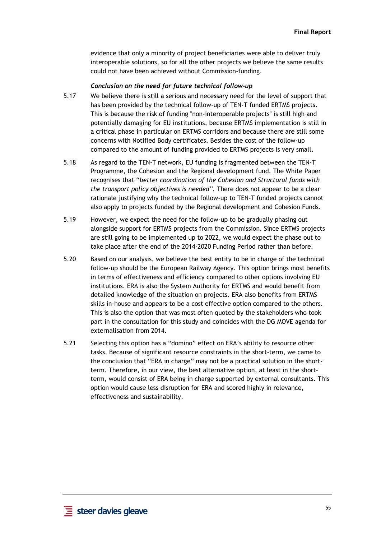evidence that only a minority of project beneficiaries were able to deliver truly interoperable solutions, so for all the other projects we believe the same results could not have been achieved without Commission-funding.

#### *Conclusion on the need for future technical follow-up*

- 5.17 We believe there is still a serious and necessary need for the level of support that has been provided by the technical follow-up of TEN-T funded ERTMS projects. This is because the risk of funding "non-interoperable projects" is still high and potentially damaging for EU institutions, because ERTMS implementation is still in a critical phase in particular on ERTMS corridors and because there are still some concerns with Notified Body certificates. Besides the cost of the follow-up compared to the amount of funding provided to ERTMS projects is very small.
- 5.18 As regard to the TEN-T network, EU funding is fragmented between the TEN-T Programme, the Cohesion and the Regional development fund. The White Paper recognises that "*better coordination of the Cohesion and Structural funds with the transport policy objectives is needed".* There does not appear to be a clear rationale justifying why the technical follow-up to TEN-T funded projects cannot also apply to projects funded by the Regional development and Cohesion Funds.
- 5.19 However, we expect the need for the follow-up to be gradually phasing out alongside support for ERTMS projects from the Commission. Since ERTMS projects are still going to be implemented up to 2022, we would expect the phase out to take place after the end of the 2014-2020 Funding Period rather than before.
- 5.20 Based on our analysis, we believe the best entity to be in charge of the technical follow-up should be the European Railway Agency. This option brings most benefits in terms of effectiveness and efficiency compared to other options involving EU institutions. ERA is also the System Authority for ERTMS and would benefit from detailed knowledge of the situation on projects. ERA also benefits from ERTMS skills in-house and appears to be a cost effective option compared to the others. This is also the option that was most often quoted by the stakeholders who took part in the consultation for this study and coincides with the DG MOVE agenda for externalisation from 2014.
- 5.21 Selecting this option has a "domino" effect on ERA's ability to resource other tasks. Because of significant resource constraints in the short-term, we came to the conclusion that "ERA in charge" may not be a practical solution in the shortterm. Therefore, in our view, the best alternative option, at least in the shortterm, would consist of ERA being in charge supported by external consultants. This option would cause less disruption for ERA and scored highly in relevance, effectiveness and sustainability.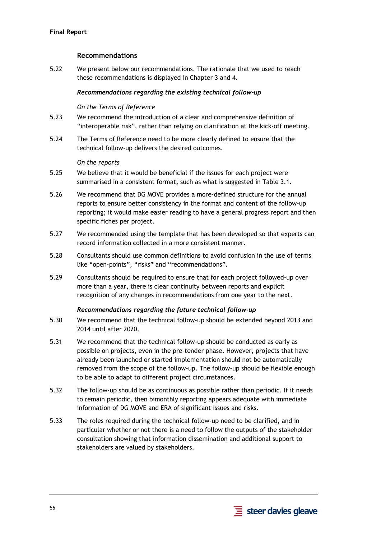# **Recommendations**

5.22 We present below our recommendations. The rationale that we used to reach these recommendations is displayed in Chapter 3 and 4.

## *Recommendations regarding the existing technical follow-up*

## *On the Terms of Reference*

- 5.23 We recommend the introduction of a clear and comprehensive definition of "interoperable risk", rather than relying on clarification at the kick-off meeting.
- 5.24 The Terms of Reference need to be more clearly defined to ensure that the technical follow-up delivers the desired outcomes.

#### *On the reports*

- 5.25 We believe that it would be beneficial if the issues for each project were summarised in a consistent format, such as what is suggested in Table 3.1.
- 5.26 We recommend that DG MOVE provides a more-defined structure for the annual reports to ensure better consistency in the format and content of the follow-up reporting; it would make easier reading to have a general progress report and then specific fiches per project.
- 5.27 We recommended using the template that has been developed so that experts can record information collected in a more consistent manner.
- 5.28 Consultants should use common definitions to avoid confusion in the use of terms like "open-points", "risks" and "recommendations".
- 5.29 Consultants should be required to ensure that for each project followed-up over more than a year, there is clear continuity between reports and explicit recognition of any changes in recommendations from one year to the next.

#### *Recommendations regarding the future technical follow-up*

- 5.30 We recommend that the technical follow-up should be extended beyond 2013 and 2014 until after 2020.
- 5.31 We recommend that the technical follow-up should be conducted as early as possible on projects, even in the pre-tender phase. However, projects that have already been launched or started implementation should not be automatically removed from the scope of the follow-up. The follow-up should be flexible enough to be able to adapt to different project circumstances.
- 5.32 The follow-up should be as continuous as possible rather than periodic. If it needs to remain periodic, then bimonthly reporting appears adequate with immediate information of DG MOVE and ERA of significant issues and risks.
- 5.33 The roles required during the technical follow-up need to be clarified, and in particular whether or not there is a need to follow the outputs of the stakeholder consultation showing that information dissemination and additional support to stakeholders are valued by stakeholders.

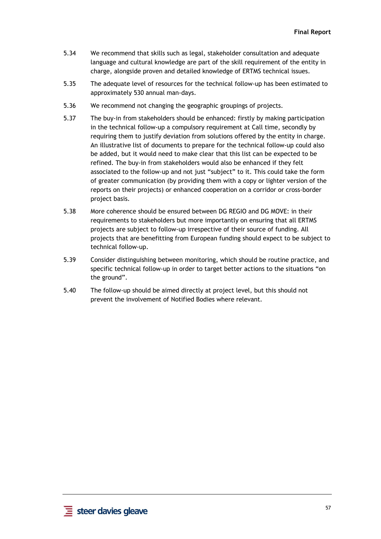- 5.34 We recommend that skills such as legal, stakeholder consultation and adequate language and cultural knowledge are part of the skill requirement of the entity in charge, alongside proven and detailed knowledge of ERTMS technical issues.
- 5.35 The adequate level of resources for the technical follow-up has been estimated to approximately 530 annual man-days.
- 5.36 We recommend not changing the geographic groupings of projects.
- 5.37 The buy-in from stakeholders should be enhanced: firstly by making participation in the technical follow-up a compulsory requirement at Call time, secondly by requiring them to justify deviation from solutions offered by the entity in charge. An illustrative list of documents to prepare for the technical follow-up could also be added, but it would need to make clear that this list can be expected to be refined. The buy-in from stakeholders would also be enhanced if they felt associated to the follow-up and not just "subject" to it. This could take the form of greater communication (by providing them with a copy or lighter version of the reports on their projects) or enhanced cooperation on a corridor or cross-border project basis.
- 5.38 More coherence should be ensured between DG REGIO and DG MOVE: in their requirements to stakeholders but more importantly on ensuring that all ERTMS projects are subject to follow-up irrespective of their source of funding. All projects that are benefitting from European funding should expect to be subject to technical follow-up.
- 5.39 Consider distinguishing between monitoring, which should be routine practice, and specific technical follow-up in order to target better actions to the situations "on the ground".
- 5.40 The follow-up should be aimed directly at project level, but this should not prevent the involvement of Notified Bodies where relevant.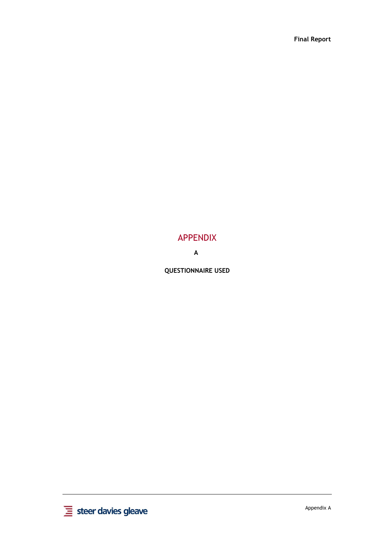**Final Report** 

# APPENDIX

**A**

**QUESTIONNAIRE USED** 

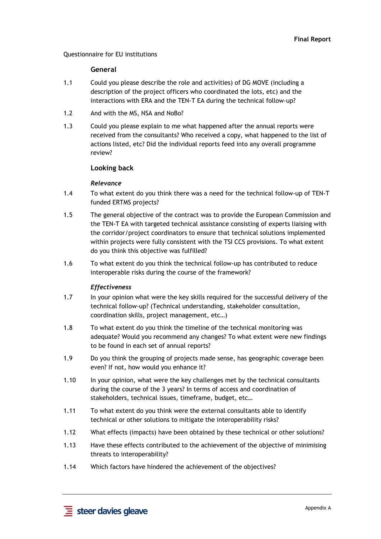Questionnaire for EU institutions

#### **General**

- 1.1 Could you please describe the role and activities) of DG MOVE (including a description of the project officers who coordinated the lots, etc) and the interactions with ERA and the TEN-T EA during the technical follow-up?
- 1.2 And with the MS, NSA and NoBo?
- 1.3 Could you please explain to me what happened after the annual reports were received from the consultants? Who received a copy, what happened to the list of actions listed, etc? Did the individual reports feed into any overall programme review?

#### **Looking back**

#### *Relevance*

- 1.4 To what extent do you think there was a need for the technical follow-up of TEN-T funded ERTMS projects?
- 1.5 The general objective of the contract was to provide the European Commission and the TEN-T EA with targeted technical assistance consisting of experts liaising with the corridor/project coordinators to ensure that technical solutions implemented within projects were fully consistent with the TSI CCS provisions. To what extent do you think this objective was fulfilled?
- 1.6 To what extent do you think the technical follow-up has contributed to reduce interoperable risks during the course of the framework?

#### *Effectiveness*

- 1.7 In your opinion what were the key skills required for the successful delivery of the technical follow-up? (Technical understanding, stakeholder consultation, coordination skills, project management, etc…)
- 1.8 To what extent do you think the timeline of the technical monitoring was adequate? Would you recommend any changes? To what extent were new findings to be found in each set of annual reports?
- 1.9 Do you think the grouping of projects made sense, has geographic coverage been even? If not, how would you enhance it?
- 1.10 In your opinion, what were the key challenges met by the technical consultants during the course of the 3 years? In terms of access and coordination of stakeholders, technical issues, timeframe, budget, etc…
- 1.11 To what extent do you think were the external consultants able to identify technical or other solutions to mitigate the interoperability risks?
- 1.12 What effects (impacts) have been obtained by these technical or other solutions?
- 1.13 Have these effects contributed to the achievement of the objective of minimising threats to interoperability?
- 1.14 Which factors have hindered the achievement of the objectives?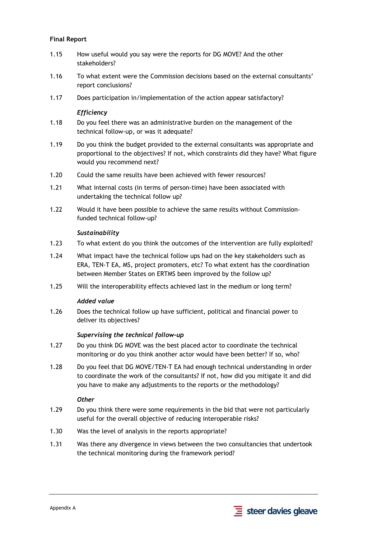## **Final Report**

- 1.15 How useful would you say were the reports for DG MOVE? And the other stakeholders?
- 1.16 To what extent were the Commission decisions based on the external consultants' report conclusions?
- 1.17 Does participation in/implementation of the action appear satisfactory?

*Efficiency* 

- 1.18 Do you feel there was an administrative burden on the management of the technical follow-up, or was it adequate?
- 1.19 Do you think the budget provided to the external consultants was appropriate and proportional to the objectives? If not, which constraints did they have? What figure would you recommend next?
- 1.20 Could the same results have been achieved with fewer resources?
- 1.21 What internal costs (in terms of person-time) have been associated with undertaking the technical follow up?
- 1.22 Would it have been possible to achieve the same results without Commissionfunded technical follow-up?

#### *Sustainability*

- 1.23 To what extent do you think the outcomes of the intervention are fully exploited?
- 1.24 What impact have the technical follow ups had on the key stakeholders such as ERA, TEN-T EA, MS, project promoters, etc? To what extent has the coordination between Member States on ERTMS been improved by the follow up?
- 1.25 Will the interoperability effects achieved last in the medium or long term?

#### *Added value*

1.26 Does the technical follow up have sufficient, political and financial power to deliver its objectives?

#### *Supervising the technical follow-up*

- 1.27 Do you think DG MOVE was the best placed actor to coordinate the technical monitoring or do you think another actor would have been better? If so, who?
- 1.28 Do you feel that DG MOVE/TEN-T EA had enough technical understanding in order to coordinate the work of the consultants? If not, how did you mitigate it and did you have to make any adjustments to the reports or the methodology?

#### *Other*

- 1.29 Do you think there were some requirements in the bid that were not particularly useful for the overall objective of reducing interoperable risks?
- 1.30 Was the level of analysis in the reports appropriate?
- 1.31 Was there any divergence in views between the two consultancies that undertook the technical monitoring during the framework period?

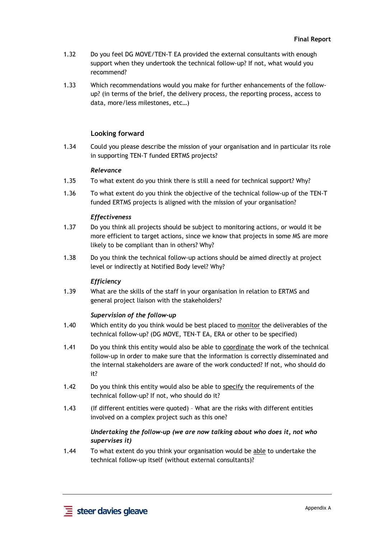- 1.32 Do you feel DG MOVE/TEN-T EA provided the external consultants with enough support when they undertook the technical follow-up? If not, what would you recommend?
- 1.33 Which recommendations would you make for further enhancements of the followup? (in terms of the brief, the delivery process, the reporting process, access to data, more/less milestones, etc…)

## **Looking forward**

1.34 Could you please describe the mission of your organisation and in particular its role in supporting TEN-T funded ERTMS projects?

#### *Relevance*

- 1.35 To what extent do you think there is still a need for technical support? Why?
- 1.36 To what extent do you think the objective of the technical follow-up of the TEN-T funded ERTMS projects is aligned with the mission of your organisation?

#### *Effectiveness*

- 1.37 Do you think all projects should be subject to monitoring actions, or would it be more efficient to target actions, since we know that projects in some MS are more likely to be compliant than in others? Why?
- 1.38 Do you think the technical follow-up actions should be aimed directly at project level or indirectly at Notified Body level? Why?

#### *Efficiency*

1.39 What are the skills of the staff in your organisation in relation to ERTMS and general project liaison with the stakeholders?

#### *Supervision of the follow-up*

- 1.40 Which entity do you think would be best placed to monitor the deliverables of the technical follow-up? (DG MOVE, TEN-T EA, ERA or other to be specified)
- 1.41 Do you think this entity would also be able to coordinate the work of the technical follow-up in order to make sure that the information is correctly disseminated and the internal stakeholders are aware of the work conducted? If not, who should do it?
- 1.42 Do you think this entity would also be able to specify the requirements of the technical follow-up? If not, who should do it?
- 1.43 (If different entities were quoted) What are the risks with different entities involved on a complex project such as this one?

## *Undertaking the follow-up (we are now talking about who does it, not who supervises it)*

1.44 To what extent do you think your organisation would be able to undertake the technical follow-up itself (without external consultants)?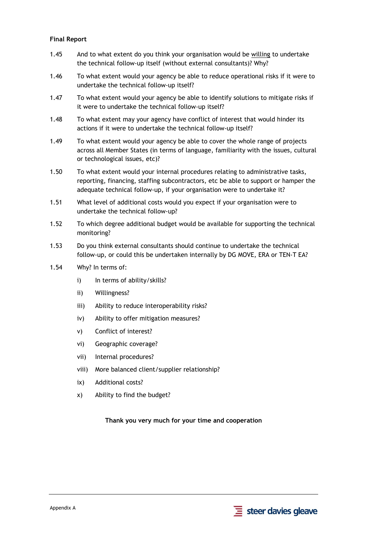## **Final Report**

- 1.45 And to what extent do you think your organisation would be willing to undertake the technical follow-up itself (without external consultants)? Why?
- 1.46 To what extent would your agency be able to reduce operational risks if it were to undertake the technical follow-up itself?
- 1.47 To what extent would your agency be able to identify solutions to mitigate risks if it were to undertake the technical follow-up itself?
- 1.48 To what extent may your agency have conflict of interest that would hinder its actions if it were to undertake the technical follow-up itself?
- 1.49 To what extent would your agency be able to cover the whole range of projects across all Member States (in terms of language, familiarity with the issues, cultural or technological issues, etc)?
- 1.50 To what extent would your internal procedures relating to administrative tasks, reporting, financing, staffing subcontractors, etc be able to support or hamper the adequate technical follow-up, if your organisation were to undertake it?
- 1.51 What level of additional costs would you expect if your organisation were to undertake the technical follow-up?
- 1.52 To which degree additional budget would be available for supporting the technical monitoring?
- 1.53 Do you think external consultants should continue to undertake the technical follow-up, or could this be undertaken internally by DG MOVE, ERA or TEN-T EA?
- 1.54 Why? In terms of:
	- i) In terms of ability/skills?
	- ii) Willingness?
	- iii) Ability to reduce interoperability risks?
	- iv) Ability to offer mitigation measures?
	- v) Conflict of interest?
	- vi) Geographic coverage?
	- vii) Internal procedures?
	- viii) More balanced client/supplier relationship?
	- ix) Additional costs?
	- x) Ability to find the budget?

**Thank you very much for your time and cooperation** 

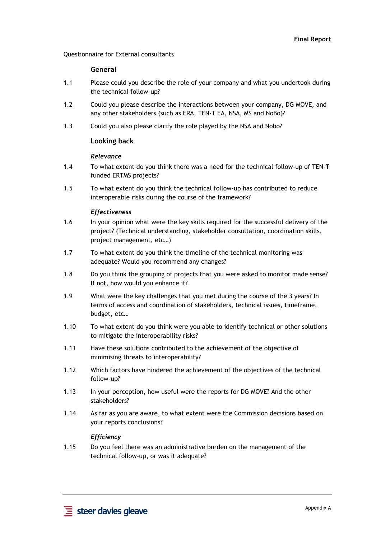Questionnaire for External consultants

#### **General**

- 1.1 Please could you describe the role of your company and what you undertook during the technical follow-up?
- 1.2 Could you please describe the interactions between your company, DG MOVE, and any other stakeholders (such as ERA, TEN-T EA, NSA, MS and NoBo)?
- 1.3 Could you also please clarify the role played by the NSA and Nobo?

## **Looking back**

#### *Relevance*

- 1.4 To what extent do you think there was a need for the technical follow-up of TEN-T funded ERTMS projects?
- 1.5 To what extent do you think the technical follow-up has contributed to reduce interoperable risks during the course of the framework?

#### *Effectiveness*

- 1.6 In your opinion what were the key skills required for the successful delivery of the project? (Technical understanding, stakeholder consultation, coordination skills, project management, etc…)
- 1.7 To what extent do you think the timeline of the technical monitoring was adequate? Would you recommend any changes?
- 1.8 Do you think the grouping of projects that you were asked to monitor made sense? If not, how would you enhance it?
- 1.9 What were the key challenges that you met during the course of the 3 years? In terms of access and coordination of stakeholders, technical issues, timeframe, budget, etc…
- 1.10 To what extent do you think were you able to identify technical or other solutions to mitigate the interoperability risks?
- 1.11 Have these solutions contributed to the achievement of the objective of minimising threats to interoperability?
- 1.12 Which factors have hindered the achievement of the objectives of the technical follow-up?
- 1.13 In your perception, how useful were the reports for DG MOVE? And the other stakeholders?
- 1.14 As far as you are aware, to what extent were the Commission decisions based on your reports conclusions?

## *Efficiency*

1.15 Do you feel there was an administrative burden on the management of the technical follow-up, or was it adequate?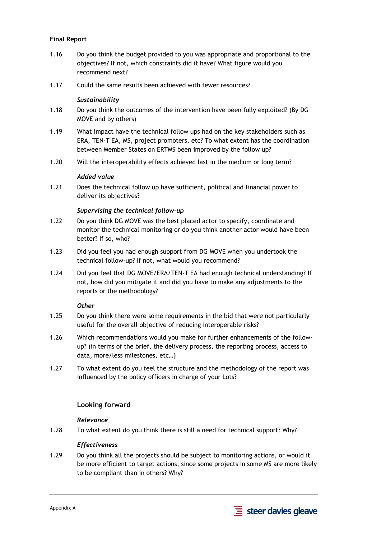## **Final Report**

- 1.16 Do you think the budget provided to you was appropriate and proportional to the objectives? If not, which constraints did it have? What figure would you recommend next?
- 1.17 Could the same results been achieved with fewer resources?

#### *Sustainability*

- 1.18 Do you think the outcomes of the intervention have been fully exploited? (By DG MOVE and by others)
- 1.19 What impact have the technical follow ups had on the key stakeholders such as ERA, TEN-T EA, MS, project promoters, etc? To what extent has the coordination between Member States on ERTMS been improved by the follow up?
- 1.20 Will the interoperability effects achieved last in the medium or long term?

#### *Added value*

1.21 Does the technical follow up have sufficient, political and financial power to deliver its objectives?

## *Supervising the technical follow-up*

- 1.22 Do you think DG MOVE was the best placed actor to specify, coordinate and monitor the technical monitoring or do you think another actor would have been better? If so, who?
- 1.23 Did you feel you had enough support from DG MOVE when you undertook the technical follow-up? If not, what would you recommend?
- 1.24 Did you feel that DG MOVE/ERA/TEN-T EA had enough technical understanding? If not, how did you mitigate it and did you have to make any adjustments to the reports or the methodology?

#### *Other*

- 1.25 Do you think there were some requirements in the bid that were not particularly useful for the overall objective of reducing interoperable risks?
- 1.26 Which recommendations would you make for further enhancements of the followup? (in terms of the brief, the delivery process, the reporting process, access to data, more/less milestones, etc…)
- 1.27 To what extent do you feel the structure and the methodology of the report was influenced by the policy officers in charge of your Lots?

## **Looking forward**

## *Relevance*

1.28 To what extent do you think there is still a need for technical support? Why?

## *Effectiveness*

1.29 Do you think all the projects should be subject to monitoring actions, or would it be more efficient to target actions, since some projects in some MS are more likely to be compliant than in others? Why?

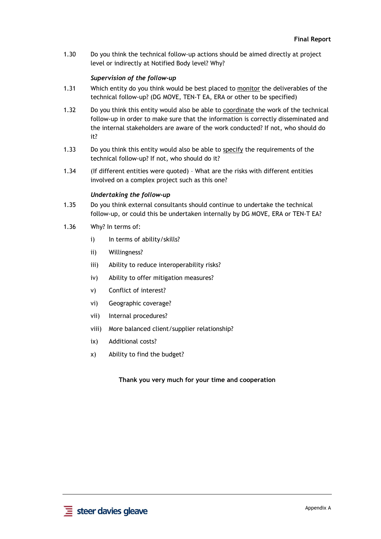1.30 Do you think the technical follow-up actions should be aimed directly at project level or indirectly at Notified Body level? Why?

#### *Supervision of the follow-up*

- 1.31 Which entity do you think would be best placed to monitor the deliverables of the technical follow-up? (DG MOVE, TEN-T EA, ERA or other to be specified)
- 1.32 Do you think this entity would also be able to coordinate the work of the technical follow-up in order to make sure that the information is correctly disseminated and the internal stakeholders are aware of the work conducted? If not, who should do it?
- 1.33 Do you think this entity would also be able to specify the requirements of the technical follow-up? If not, who should do it?
- 1.34 (If different entities were quoted) What are the risks with different entities involved on a complex project such as this one?

#### *Undertaking the follow-up*

- 1.35 Do you think external consultants should continue to undertake the technical follow-up, or could this be undertaken internally by DG MOVE, ERA or TEN-T EA?
- 1.36 Why? In terms of:
	- i) In terms of ability/skills?
	- ii) Willingness?
	- iii) Ability to reduce interoperability risks?
	- iv) Ability to offer mitigation measures?
	- v) Conflict of interest?
	- vi) Geographic coverage?
	- vii) Internal procedures?
	- viii) More balanced client/supplier relationship?
	- ix) Additional costs?
	- x) Ability to find the budget?

**Thank you very much for your time and cooperation**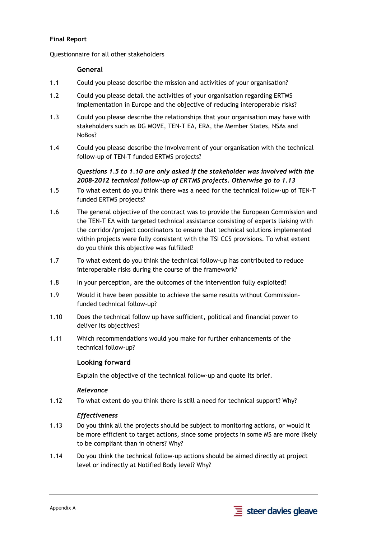## **Final Report**

Questionnaire for all other stakeholders

## **General**

- 1.1 Could you please describe the mission and activities of your organisation?
- 1.2 Could you please detail the activities of your organisation regarding ERTMS implementation in Europe and the objective of reducing interoperable risks?
- 1.3 Could you please describe the relationships that your organisation may have with stakeholders such as DG MOVE, TEN-T EA, ERA, the Member States, NSAs and NoBos?
- 1.4 Could you please describe the involvement of your organisation with the technical follow-up of TEN-T funded ERTMS projects?

# *Questions 1.5 to 1.10 are only asked if the stakeholder was involved with the 2008-2012 technical follow-up of ERTMS projects. Otherwise go to 1.13*

- 1.5 To what extent do you think there was a need for the technical follow-up of TEN-T funded ERTMS projects?
- 1.6 The general objective of the contract was to provide the European Commission and the TEN-T EA with targeted technical assistance consisting of experts liaising with the corridor/project coordinators to ensure that technical solutions implemented within projects were fully consistent with the TSI CCS provisions. To what extent do you think this objective was fulfilled?
- 1.7 To what extent do you think the technical follow-up has contributed to reduce interoperable risks during the course of the framework?
- 1.8 In your perception, are the outcomes of the intervention fully exploited?
- 1.9 Would it have been possible to achieve the same results without Commissionfunded technical follow-up?
- 1.10 Does the technical follow up have sufficient, political and financial power to deliver its objectives?
- 1.11 Which recommendations would you make for further enhancements of the technical follow-up?

## **Looking forward**

Explain the objective of the technical follow-up and quote its brief.

## *Relevance*

1.12 To what extent do you think there is still a need for technical support? Why?

## *Effectiveness*

- 1.13 Do you think all the projects should be subject to monitoring actions, or would it be more efficient to target actions, since some projects in some MS are more likely to be compliant than in others? Why?
- 1.14 Do you think the technical follow-up actions should be aimed directly at project level or indirectly at Notified Body level? Why?

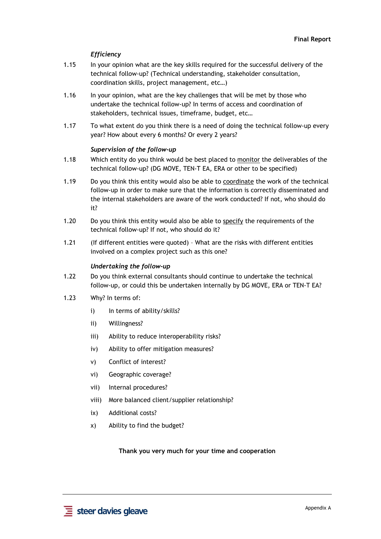## *Efficiency*

- 1.15 In your opinion what are the key skills required for the successful delivery of the technical follow-up? (Technical understanding, stakeholder consultation, coordination skills, project management, etc…)
- 1.16 In your opinion, what are the key challenges that will be met by those who undertake the technical follow-up? In terms of access and coordination of stakeholders, technical issues, timeframe, budget, etc…
- 1.17 To what extent do you think there is a need of doing the technical follow-up every year? How about every 6 months? Or every 2 years?

#### *Supervision of the follow-up*

- 1.18 Which entity do you think would be best placed to monitor the deliverables of the technical follow-up? (DG MOVE, TEN-T EA, ERA or other to be specified)
- 1.19 Do you think this entity would also be able to coordinate the work of the technical follow-up in order to make sure that the information is correctly disseminated and the internal stakeholders are aware of the work conducted? If not, who should do it?
- 1.20 Do you think this entity would also be able to specify the requirements of the technical follow-up? If not, who should do it?
- 1.21 (If different entities were quoted) What are the risks with different entities involved on a complex project such as this one?

## *Undertaking the follow-up*

- 1.22 Do you think external consultants should continue to undertake the technical follow-up, or could this be undertaken internally by DG MOVE, ERA or TEN-T EA?
- 1.23 Why? In terms of:
	- i) In terms of ability/skills?
	- ii) Willingness?
	- iii) Ability to reduce interoperability risks?
	- iv) Ability to offer mitigation measures?
	- v) Conflict of interest?
	- vi) Geographic coverage?
	- vii) Internal procedures?
	- viii) More balanced client/supplier relationship?
	- ix) Additional costs?
	- x) Ability to find the budget?

**Thank you very much for your time and cooperation**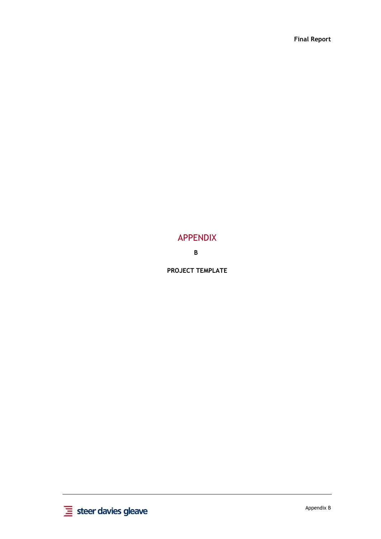# APPENDIX

**B**

**PROJECT TEMPLATE** 

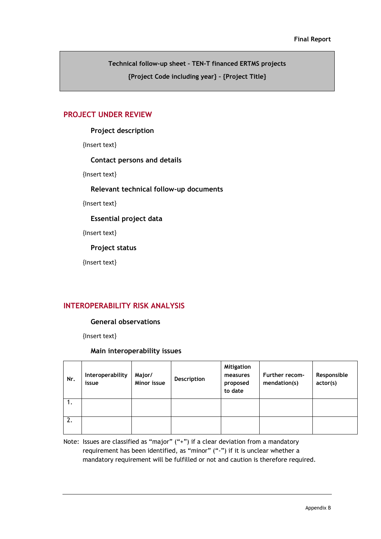**Technical follow-up sheet – TEN-T financed ERTMS projects {Project Code including year} – {Project Title}** 

## **PROJECT UNDER REVIEW**

## **Project description**

{Insert text}

## **Contact persons and details**

{Insert text}

## **Relevant technical follow-up documents**

{Insert text}

## **Essential project data**

{Insert text}

**Project status** 

{Insert text}

# **INTEROPERABILITY RISK ANALYSIS**

## **General observations**

{Insert text}

## **Main interoperability issues**

| Nr. | Interoperability<br>issue | Major/<br>Minor issue | <b>Description</b> | <b>Mitigation</b><br>measures<br>proposed<br>to date | <b>Further recom-</b><br>mendation(s) | Responsible<br>actor(s) |
|-----|---------------------------|-----------------------|--------------------|------------------------------------------------------|---------------------------------------|-------------------------|
| 1.  |                           |                       |                    |                                                      |                                       |                         |
| 2.  |                           |                       |                    |                                                      |                                       |                         |

Note: Issues are classified as "major" ("+") if a clear deviation from a mandatory requirement has been identified, as "minor" ("-") if it is unclear whether a mandatory requirement will be fulfilled or not and caution is therefore required.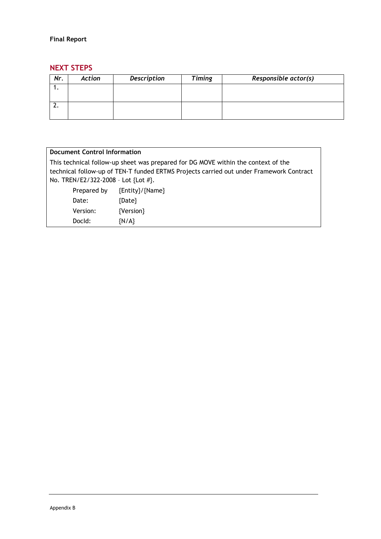# **NEXT STEPS**

| Nr. | Action | <b>Description</b> | <b>Timing</b> | Responsible actor(s) |
|-----|--------|--------------------|---------------|----------------------|
|     |        |                    |               |                      |
|     |        |                    |               |                      |
|     |        |                    |               |                      |
|     |        |                    |               |                      |

| <b>Document Control Information</b>                                                     |                       |                 |  |  |
|-----------------------------------------------------------------------------------------|-----------------------|-----------------|--|--|
| This technical follow-up sheet was prepared for DG MOVE within the context of the       |                       |                 |  |  |
| technical follow-up of TEN-T funded ERTMS Projects carried out under Framework Contract |                       |                 |  |  |
| No. TREN/E2/322-2008 - Lot {Lot #}.                                                     |                       |                 |  |  |
|                                                                                         | Prepared by           | {Entity}/{Name} |  |  |
| Date:                                                                                   |                       | {Date}          |  |  |
|                                                                                         | {Version}<br>Version: |                 |  |  |
| Docld:                                                                                  |                       | $\{N/A\}$       |  |  |
|                                                                                         |                       |                 |  |  |